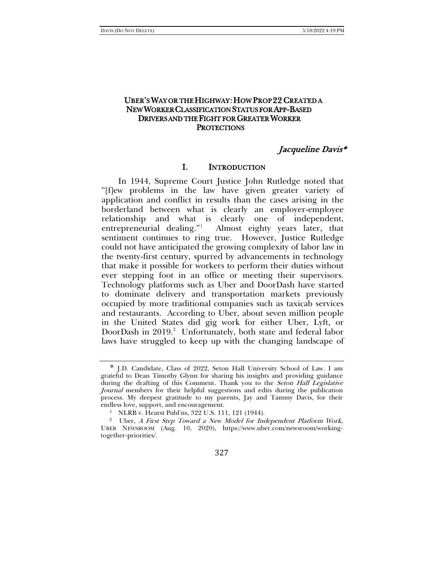# UBER'S WAY OR THE HIGHWAY: HOW PROP 22 CREATED A NEW WORKER CLASSIFICATION STATUS FOR APP-BASED DRIVERS AND THE FIGHT FOR GREATER WORKER **PROTECTIONS**

# Jacqueline Davis\*

# I. INTRODUCTION

In 1944, Supreme Court Justice John Rutledge noted that "[f]ew problems in the law have given greater variety of application and conflict in results than the cases arising in the borderland between what is clearly an employer-employee relationship and what is clearly one of independent, entrepreneurial dealing."[1](#page-0-0) Almost eighty years later, that sentiment continues to ring true. However, Justice Rutledge could not have anticipated the growing complexity of labor law in the twenty-first century, spurred by advancements in technology that make it possible for workers to perform their duties without ever stepping foot in an office or meeting their supervisors. Technology platforms such as Uber and DoorDash have started to dominate delivery and transportation markets previously occupied by more traditional companies such as taxicab services and restaurants. According to Uber, about seven million people in the United States did gig work for either Uber, Lyft, or DoorDash in [2](#page-0-1)019.<sup>2</sup> Unfortunately, both state and federal labor laws have struggled to keep up with the changing landscape of

327

<span id="page-0-0"></span><sup>\*</sup> J.D. Candidate, Class of 2022, Seton Hall University School of Law. I am grateful to Dean Timothy Glynn for sharing his insights and providing guidance during the drafting of this Comment. Thank you to the Seton Hall Legislative Journal members for their helpful suggestions and edits during the publication process. My deepest gratitude to my parents, Jay and Tammy Davis, for their endless love, support, and encouragement.

<span id="page-0-1"></span><sup>&</sup>lt;sup>1</sup> NLRB v. Hearst Publ'ns, 322 U.S. 111, 121 (1944).<br><sup>2</sup> Uber, *A First Step Toward a New Model for Independent Platform Work*, UBER NEWSROOM (Aug. 10, 2020), https://www.uber.com/newsroom/workingtogether-priorities/.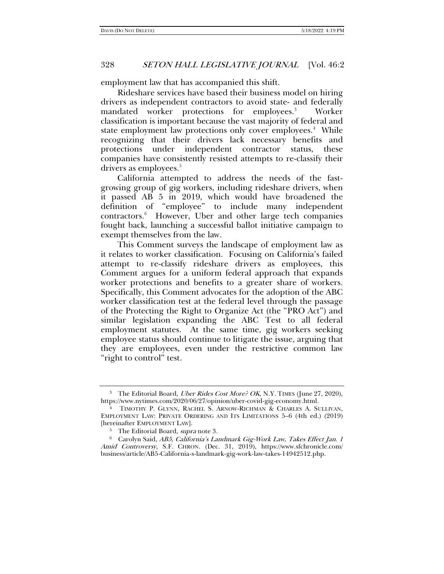employment law that has accompanied this shift.

<span id="page-1-5"></span><span id="page-1-0"></span>Rideshare services have based their business model on hiring drivers as independent contractors to avoid state- and federally mandated worker protections for employees.<sup>[3](#page-1-1)</sup> Worker classification is important because the vast majority of federal and state employment law protections only cover employees.<sup>[4](#page-1-2)</sup> While recognizing that their drivers lack necessary benefits and protections under independent contractor status, these companies have consistently resisted attempts to re-classify their drivers as employees.<sup>[5](#page-1-3)</sup>

California attempted to address the needs of the fastgrowing group of gig workers, including rideshare drivers, when it passed AB 5 in 2019, which would have broadened the definition of "employee" to include many independent contractors[.6](#page-1-4) However, Uber and other large tech companies fought back, launching a successful ballot initiative campaign to exempt themselves from the law.

This Comment surveys the landscape of employment law as it relates to worker classification. Focusing on California's failed attempt to re-classify rideshare drivers as employees, this Comment argues for a uniform federal approach that expands worker protections and benefits to a greater share of workers. Specifically, this Comment advocates for the adoption of the ABC worker classification test at the federal level through the passage of the Protecting the Right to Organize Act (the "PRO Act") and similar legislation expanding the ABC Test to all federal employment statutes. At the same time, gig workers seeking employee status should continue to litigate the issue, arguing that they are employees, even under the restrictive common law "right to control" test.

<span id="page-1-1"></span><sup>&</sup>lt;sup>3</sup> The Editorial Board, *Uber Rides Cost More? OK*, N.Y. TIMES (June 27, 2020), https://www.nytimes.com/2020/06/27/opinion/uber-covid-gig-economy.html.

<span id="page-1-2"></span><sup>4</sup> TIMOTHY P. GLYNN, RACHEL S. ARNOW-RICHMAN & CHARLES A. SULLIVAN, EMPLOYMENT LAW: PRIVATE ORDERING AND ITS LIMITATIONS 5–6 (4th ed.) (2019) [hereinafter EMPLOYMENT LAW].

<sup>&</sup>lt;sup>5</sup> The Editorial Board, *supra* note [3.](#page-1-0)

<span id="page-1-4"></span><span id="page-1-3"></span><sup>6</sup> Carolyn Said, AB5, California's Landmark Gig-Work Law, Takes Effect Jan. 1 Amid Controversy, S.F. CHRON. (Dec. 31, 2019), https://www.sfchronicle.com/ business/article/AB5-California-s-landmark-gig-work-law-takes-14942512.php.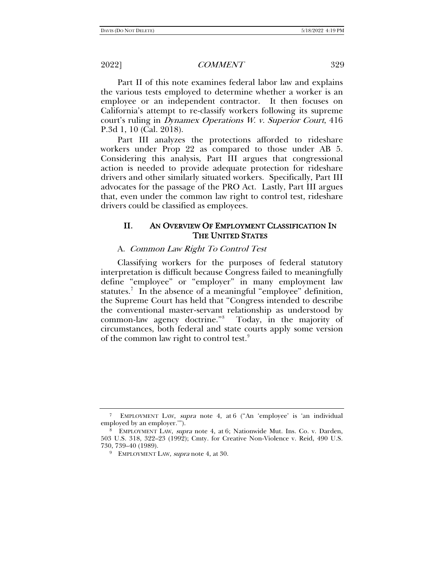Part II of this note examines federal labor law and explains the various tests employed to determine whether a worker is an employee or an independent contractor. It then focuses on California's attempt to re-classify workers following its supreme court's ruling in Dynamex Operations W. v. Superior Court, 416 P.3d 1, 10 (Cal. 2018).

Part III analyzes the protections afforded to rideshare workers under Prop 22 as compared to those under AB 5. Considering this analysis, Part III argues that congressional action is needed to provide adequate protection for rideshare drivers and other similarly situated workers. Specifically, Part III advocates for the passage of the PRO Act. Lastly, Part III argues that, even under the common law right to control test, rideshare drivers could be classified as employees.

# II. AN OVERVIEW OF EMPLOYMENT CLASSIFICATION IN THE UNITED STATES

## A. Common Law Right To Control Test

Classifying workers for the purposes of federal statutory interpretation is difficult because Congress failed to meaningfully define "employee" or "employer" in many employment law statutes.<sup>[7](#page-2-0)</sup> In the absence of a meaningful "employee" definition, the Supreme Court has held that "Congress intended to describe the conventional master-servant relationship as understood by common-law agency doctrine."[8](#page-2-1) Today, in the majority of circumstances, both federal and state courts apply some version of the common law right to control test.<sup>[9](#page-2-2)</sup>

<span id="page-2-0"></span><sup>7</sup> EMPLOYMENT LAW, supra note [4,](#page-1-5) at 6 ("An 'employee' is 'an individual employed by an employer.'").

<span id="page-2-2"></span><span id="page-2-1"></span><sup>8</sup> EMPLOYMENT LAW, supra note [4,](#page-1-5) at 6; Nationwide Mut. Ins. Co. v. Darden, 503 U.S. 318, 322–23 (1992); Cmty. for Creative Non-Violence v. Reid, 490 U.S. 730, 739–40 (1989).

<sup>&</sup>lt;sup>9</sup> EMPLOYMENT LAW, *supra* note [4,](#page-1-5) at 30.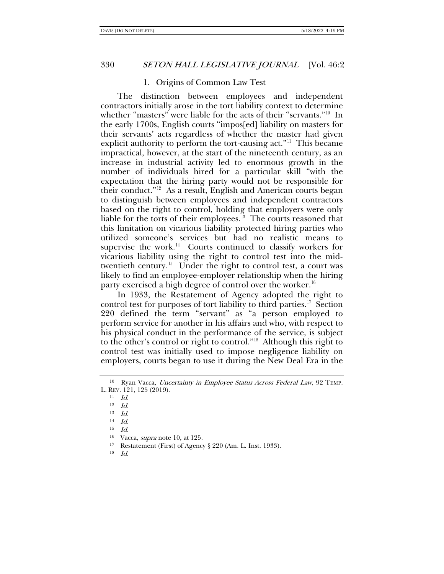### <span id="page-3-0"></span>1. Origins of Common Law Test

The distinction between employees and independent contractors initially arose in the tort liability context to determine whether "masters" were liable for the acts of their "servants."<sup>[10](#page-3-1)</sup> In the early 1700s, English courts "impos[ed] liability on masters for their servants' acts regardless of whether the master had given explicit authority to perform the tort-causing act."[11](#page-3-2) This became impractical, however, at the start of the nineteenth century, as an increase in industrial activity led to enormous growth in the number of individuals hired for a particular skill "with the expectation that the hiring party would not be responsible for their conduct."[12](#page-3-3) As a result, English and American courts began to distinguish between employees and independent contractors based on the right to control, holding that employers were only liable for the torts of their employees.<sup>[13](#page-3-4)</sup> The courts reasoned that this limitation on vicarious liability protected hiring parties who utilized someone's services but had no realistic means to supervise the work.<sup>[14](#page-3-5)</sup> Courts continued to classify workers for vicarious liability using the right to control test into the midtwentieth century.<sup>15</sup> Under the right to control test, a court was likely to find an employee-employer relationship when the hiring party exercised a high degree of control over the worker.<sup>16</sup>

In 1933, the Restatement of Agency adopted the right to control test for purposes of tort liability to third parties.<sup>[17](#page-3-8)</sup> Section 220 defined the term "servant" as "a person employed to perform service for another in his affairs and who, with respect to his physical conduct in the performance of the service, is subject to the other's control or right to control."[18](#page-3-9) Although this right to control test was initially used to impose negligence liability on employers, courts began to use it during the New Deal Era in the

<span id="page-3-9"></span>18 Id.

<span id="page-3-5"></span><span id="page-3-4"></span><span id="page-3-3"></span><span id="page-3-2"></span><span id="page-3-1"></span><sup>&</sup>lt;sup>10</sup> Ryan Vacca, *Uncertainty in Employee Status Across Federal Law*, 92 TEMP. L. REV. 121, 125 (2019).

<sup>11</sup> Id.

<sup>12</sup> Id.

 $13$  *Id.* 

 $14$  *Id.* 

<sup>15</sup> Id.

<span id="page-3-8"></span><span id="page-3-7"></span><span id="page-3-6"></span><sup>16</sup> Vacca, supra note [10,](#page-3-0) at 125.

<sup>17</sup> Restatement (First) of Agency § 220 (Am. L. Inst. 1933).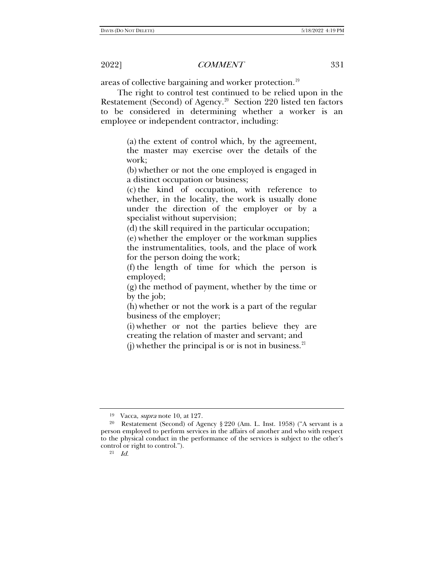areas of collective bargaining and worker protection.<sup>[19](#page-4-0)</sup>

The right to control test continued to be relied upon in the Restatement (Second) of Agency.<sup>[20](#page-4-1)</sup> Section 220 listed ten factors to be considered in determining whether a worker is an employee or independent contractor, including:

> (a) the extent of control which, by the agreement, the master may exercise over the details of the work;

> (b) whether or not the one employed is engaged in a distinct occupation or business;

> (c) the kind of occupation, with reference to whether, in the locality, the work is usually done under the direction of the employer or by a specialist without supervision;

(d) the skill required in the particular occupation;

(e) whether the employer or the workman supplies the instrumentalities, tools, and the place of work for the person doing the work;

(f) the length of time for which the person is employed;

(g) the method of payment, whether by the time or by the job;

(h) whether or not the work is a part of the regular business of the employer;

(i) whether or not the parties believe they are creating the relation of master and servant; and

(j) whether the principal is or is not in business.  $21$ 

<sup>19</sup> Vacca, supra not[e 10,](#page-3-0) at 127.

<span id="page-4-2"></span><span id="page-4-1"></span><span id="page-4-0"></span><sup>&</sup>lt;sup>20</sup> Restatement (Second) of Agency § 220 (Am. L. Inst. 1958) ("A servant is a person employed to perform services in the affairs of another and who with respect to the physical conduct in the performance of the services is subject to the other's control or right to control.").

<sup>21</sup> Id.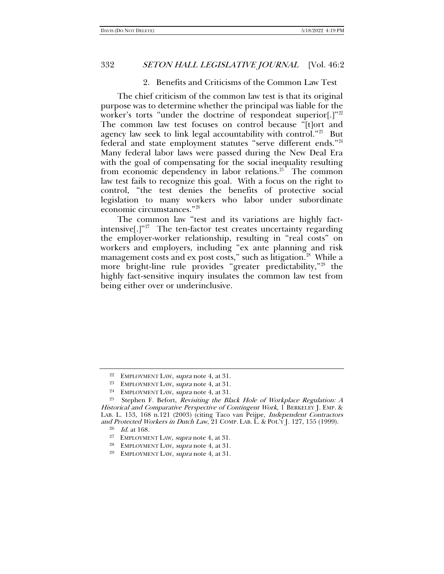### 2. Benefits and Criticisms of the Common Law Test

The chief criticism of the common law test is that its original purpose was to determine whether the principal was liable for the worker's torts "under the doctrine of respondeat superior[.]"<sup>[22](#page-5-0)</sup> The common law test focuses on control because "[t]ort and agency law seek to link legal accountability with control."<sup>23</sup> But federal and state employment statutes "serve different ends."[24](#page-5-2) Many federal labor laws were passed during the New Deal Era with the goal of compensating for the social inequality resulting from economic dependency in labor relations.<sup>[25](#page-5-3)</sup> The common law test fails to recognize this goal. With a focus on the right to control, "the test denies the benefits of protective social legislation to many workers who labor under subordinate economic circumstances."[26](#page-5-4)

The common law "test and its variations are highly factintensive[.] $"^{27}$  $"^{27}$  $"^{27}$  The ten-factor test creates uncertainty regarding the employer-worker relationship, resulting in "real costs" on workers and employers, including "ex ante planning and risk management costs and ex post costs," such as litigation.<sup>[28](#page-5-6)</sup> While a more bright-line rule provides "greater predictability,"<sup>[29](#page-5-7)</sup> the highly fact-sensitive inquiry insulates the common law test from being either over or underinclusive.

<sup>&</sup>lt;sup>22</sup> EMPLOYMENT LAW, *supra* note [4,](#page-1-5) at 31.

<sup>23</sup> EMPLOYMENT LAW, supra note [4,](#page-1-5) at 31.

<sup>&</sup>lt;sup>24</sup> EMPLOYMENT LAW, *supra* note [4,](#page-1-5) at 31.

<span id="page-5-5"></span><span id="page-5-4"></span><span id="page-5-3"></span><span id="page-5-2"></span><span id="page-5-1"></span><span id="page-5-0"></span><sup>&</sup>lt;sup>25</sup> Stephen F. Befort, *Revisiting the Black Hole of Workplace Regulation: A* Historical and Comparative Perspective of Contingent Work, 1 BERKELEY J. EMP. & LAB. L. 153, 168 n.121 (2003) (citing Taco van Peijpe, Independent Contractors and Protected Workers in Dutch Law, 21 COMP. LAB. L. & POL'Y J. 127, 155 (1999).

 $^{26}\;$   $\;$   $Id.$  at 168.

<sup>27</sup> EMPLOYMENT LAW, supra not[e 4,](#page-1-5) at 31.

<span id="page-5-6"></span><sup>28</sup> EMPLOYMENT LAW, supra note [4,](#page-1-5) at 31.

<span id="page-5-7"></span><sup>29</sup> EMPLOYMENT LAW, supra note [4,](#page-1-5) at 31.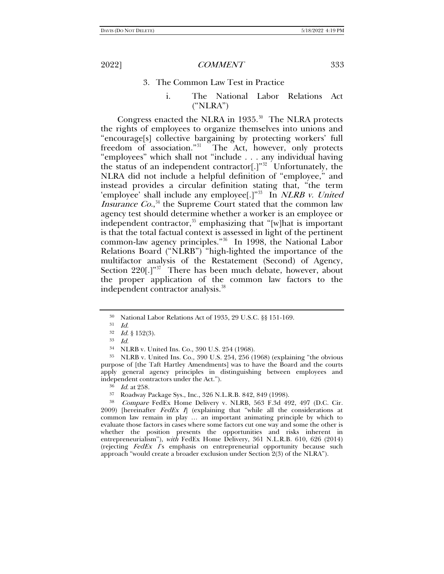### 3. The Common Law Test in Practice

i. The National Labor Relations Act ("NLRA")

Congress enacted the NLRA in  $1935.^{30}$  The NLRA protects the rights of employees to organize themselves into unions and "encourage[s] collective bargaining by protecting workers' full freedom of association."[31](#page-6-1) The Act, however, only protects "employees" which shall not "include . . . any individual having the status of an independent contractor<sup>[1]</sup><sup>[32](#page-6-2)</sup> Unfortunately, the NLRA did not include a helpful definition of "employee," and instead provides a circular definition stating that, "the term 'employee' shall include any employee<sup>[.]"33</sup> In NLRB v. United *Insurance Co.*,<sup>[34](#page-6-4)</sup> the Supreme Court stated that the common law agency test should determine whether a worker is an employee or independent contractor,<sup>[35](#page-6-5)</sup> emphasizing that "[w]hat is important is that the total factual context is assessed in light of the pertinent common-law agency principles."[36](#page-6-6) In 1998, the National Labor Relations Board ("NLRB") "high-lighted the importance of the multifactor analysis of the Restatement (Second) of Agency, Section 220[.]"<sup>[37](#page-6-7)</sup> There has been much debate, however, about the proper application of the common law factors to the independent contractor analysis.<sup>[38](#page-6-8)</sup>

<span id="page-6-5"></span><span id="page-6-4"></span><span id="page-6-3"></span><span id="page-6-2"></span><span id="page-6-1"></span><span id="page-6-0"></span><sup>35</sup> NLRB v. United Ins. Co., 390 U.S. 254, 256 (1968) (explaining "the obvious purpose of [the Taft Hartley Amendments] was to have the Board and the courts apply general agency principles in distinguishing between employees and independent contractors under the Act.").

<sup>30</sup> National Labor Relations Act of 1935, 29 U.S.C. §§ 151-169.

<sup>31</sup> Id.

 $32$  *Id.* § 152(3).

<sup>33</sup> Id.

<sup>34</sup> NLRB v. United Ins. Co., 390 U.S. 254 (1968).

 $\frac{36}{37}$  *Id.* at 258.

<sup>37</sup> Roadway Package Sys., Inc., 326 N.L.R.B. 842, 849 (1998).

<span id="page-6-8"></span><span id="page-6-7"></span><span id="page-6-6"></span><sup>38</sup> Compare FedEx Home Delivery v. NLRB, 563 F.3d 492, 497 (D.C. Cir. 2009) [hereinafter  $FedEx$   $I$ ] (explaining that "while all the considerations at common law remain in play ... an important animating principle by which to evaluate those factors in cases where some factors cut one way and some the other is whether the position presents the opportunities and risks inherent in entrepreneurialism"), with FedEx Home Delivery, 361 N.L.R.B. 610, 626 (2014) (rejecting FedEx 1's emphasis on entrepreneurial opportunity because such approach "would create a broader exclusion under Section 2(3) of the NLRA").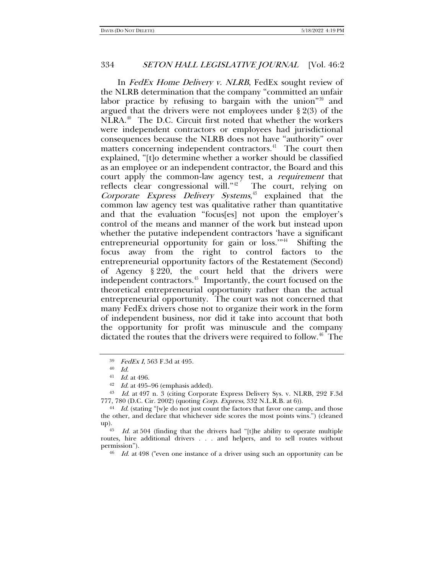In FedEx Home Delivery v. NLRB, FedEx sought review of the NLRB determination that the company "committed an unfair labor practice by refusing to bargain with the union<sup>"[39](#page-7-0)</sup> and argued that the drivers were not employees under § 2(3) of the NLRA.[40](#page-7-1) The D.C. Circuit first noted that whether the workers were independent contractors or employees had jurisdictional consequences because the NLRB does not have "authority" over matters concerning independent contractors.<sup>41</sup> The court then explained, "[t]o determine whether a worker should be classified as an employee or an independent contractor, the Board and this court apply the common-law agency test, a requirement that reflects clear congressional will." $42$  The court, relying on Corporate Express Delivery Systems, [43](#page-7-4) explained that the common law agency test was qualitative rather than quantitative and that the evaluation "focus[es] not upon the employer's control of the means and manner of the work but instead upon whether the putative independent contractors 'have a significant entrepreneurial opportunity for gain or loss."<sup>44</sup> Shifting the focus away from the right to control factors to the entrepreneurial opportunity factors of the Restatement (Second) of Agency § 220, the court held that the drivers were independent contractors.<sup>45</sup> Importantly, the court focused on the theoretical entrepreneurial opportunity rather than the actual entrepreneurial opportunity. The court was not concerned that many FedEx drivers chose not to organize their work in the form of independent business, nor did it take into account that both the opportunity for profit was minuscule and the company dictated the routes that the drivers were required to follow.<sup>46</sup> The

<sup>46</sup> Id. at 498 ("even one instance of a driver using such an opportunity can be

<sup>39</sup> FedEx I, 563 F.3d at 495.

 $^{40}\;$   $Id.$ 

<sup>41</sup> Id. at 496.

 $42$  *Id.* at 495–96 (emphasis added).

<span id="page-7-4"></span><span id="page-7-3"></span><span id="page-7-2"></span><span id="page-7-1"></span><span id="page-7-0"></span><sup>43</sup> Id. at 497 n. 3 (citing Corporate Express Delivery Sys. v. NLRB, 292 F.3d 777, 780 (D.C. Cir. 2002) (quoting Corp. Express, 332 N.L.R.B. at 6)).

<span id="page-7-5"></span><sup>&</sup>lt;sup>44</sup> Id. (stating "[w]e do not just count the factors that favor one camp, and those the other, and declare that whichever side scores the most points wins.") (cleaned up).<br><sup>45</sup> Id. at 504 (finding that the drivers had "[t]he ability to operate multiple

<span id="page-7-7"></span><span id="page-7-6"></span>routes, hire additional drivers . . . and helpers, and to sell routes without permission").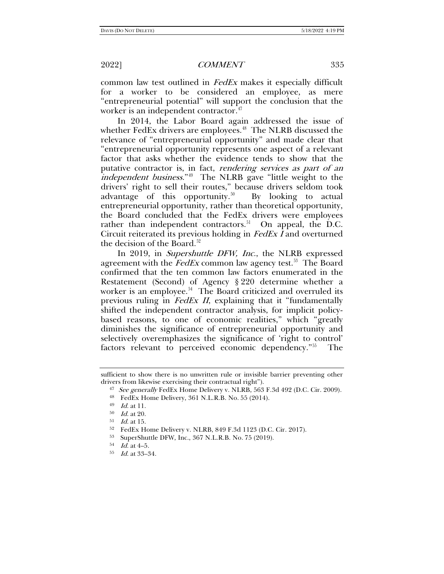common law test outlined in FedEx makes it especially difficult for a worker to be considered an employee, as mere "entrepreneurial potential" will support the conclusion that the worker is an independent contractor.<sup>[47](#page-8-0)</sup>

In 2014, the Labor Board again addressed the issue of whether FedEx drivers are employees.<sup>[48](#page-8-1)</sup> The NLRB discussed the relevance of "entrepreneurial opportunity" and made clear that "entrepreneurial opportunity represents one aspect of a relevant factor that asks whether the evidence tends to show that the putative contractor is, in fact, rendering services as part of an independent business."<sup>49</sup> The NLRB gave "little weight to the drivers' right to sell their routes," because drivers seldom took advantage of this opportunity.<sup>50</sup> By looking to actual entrepreneurial opportunity, rather than theoretical opportunity, the Board concluded that the FedEx drivers were employees rather than independent contractors.<sup>51</sup> On appeal, the D.C. Circuit reiterated its previous holding in FedEx I and overturned the decision of the Board.<sup>[52](#page-8-5)</sup>

In 2019, in Supershuttle DFW, Inc., the NLRB expressed agreement with the  $FedEx$  common law agency test.<sup>53</sup> The Board confirmed that the ten common law factors enumerated in the Restatement (Second) of Agency § 220 determine whether a worker is an employee.<sup>[54](#page-8-7)</sup> The Board criticized and overruled its previous ruling in FedEx II, explaining that it "fundamentally shifted the independent contractor analysis, for implicit policybased reasons, to one of economic realities," which "greatly diminishes the significance of entrepreneurial opportunity and selectively overemphasizes the significance of 'right to control' factors relevant to perceived economic dependency."[55](#page-8-8) The

<span id="page-8-3"></span><span id="page-8-2"></span><span id="page-8-1"></span><span id="page-8-0"></span>sufficient to show there is no unwritten rule or invisible barrier preventing other drivers from likewise exercising their contractual right").

<sup>&</sup>lt;sup>47</sup> See generally FedEx Home Delivery v. NLRB, 563 F.3d 492 (D.C. Cir. 2009).

<sup>48</sup> FedEx Home Delivery, 361 N.L.R.B. No. 55 (2014).

<sup>49</sup> Id. at 11.

 $50$  *Id.* at 20.

<span id="page-8-5"></span><span id="page-8-4"></span> $^{51}$  *Id.* at 15.<br> $^{52}$  FedEx H

<sup>52</sup> FedEx Home Delivery v. NLRB, 849 F.3d 1123 (D.C. Cir. 2017).

<span id="page-8-6"></span><sup>53</sup> SuperShuttle DFW, Inc., 367 N.L.R.B. No. 75 (2019).

<span id="page-8-7"></span> $^{54}$  *Id.* at 4–5.

<span id="page-8-8"></span><sup>55</sup> Id. at 33–34.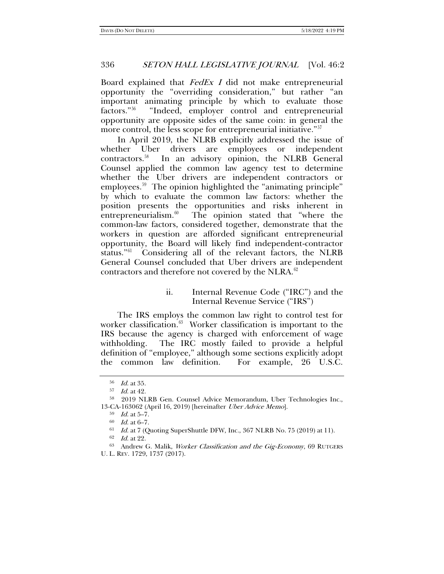Board explained that  $FedEx I$  did not make entrepreneurial opportunity the "overriding consideration," but rather "an important animating principle by which to evaluate those factors."[56](#page-9-0) "Indeed, employer control and entrepreneurial opportunity are opposite sides of the same coin: in general the more control, the less scope for entrepreneurial initiative."<sup>[57](#page-9-1)</sup>

<span id="page-9-9"></span>In April 2019, the NLRB explicitly addressed the issue of whether Uber drivers are employees or independent contractors.[58](#page-9-2) In an advisory opinion, the NLRB General Counsel applied the common law agency test to determine whether the Uber drivers are independent contractors or employees.<sup>59</sup> The opinion highlighted the "animating principle" by which to evaluate the common law factors: whether the position presents the opportunities and risks inherent in entrepreneurialism. $60$  The opinion stated that "where the common-law factors, considered together, demonstrate that the workers in question are afforded significant entrepreneurial opportunity, the Board will likely find independent-contractor status."[61](#page-9-5) Considering all of the relevant factors, the NLRB General Counsel concluded that Uber drivers are independent contractors and therefore not covered by the NLRA. $62$ 

# <span id="page-9-8"></span>ii. Internal Revenue Code ("IRC") and the Internal Revenue Service ("IRS")

The IRS employs the common law right to control test for worker classification.<sup>[63](#page-9-7)</sup> Worker classification is important to the IRS because the agency is charged with enforcement of wage withholding. The IRC mostly failed to provide a helpful definition of "employee," although some sections explicitly adopt the common law definition. For example, 26 U.S.C.

<sup>56</sup> Id. at 35.

<sup>57</sup> Id. at 42.

<span id="page-9-3"></span><span id="page-9-2"></span><span id="page-9-1"></span><span id="page-9-0"></span><sup>58</sup> 2019 NLRB Gen. Counsel Advice Memorandum, Uber Technologies Inc., 13-CA-163062 (April 16, 2019) [hereinafter Uber Advice Memo].

 $59$  *Id.* at  $5-7$ .

 $60$  *Id.* at  $6-7$ .

 $61$  Id. at 7 (Quoting SuperShuttle DFW, Inc., 367 NLRB No. 75 (2019) at 11).

<sup>62</sup> Id. at 22.

<span id="page-9-7"></span><span id="page-9-6"></span><span id="page-9-5"></span><span id="page-9-4"></span><sup>&</sup>lt;sup>63</sup> Andrew G. Malik, Worker Classification and the Gig-Economy, 69 RUTGERS U. L. REV. 1729, 1737 (2017).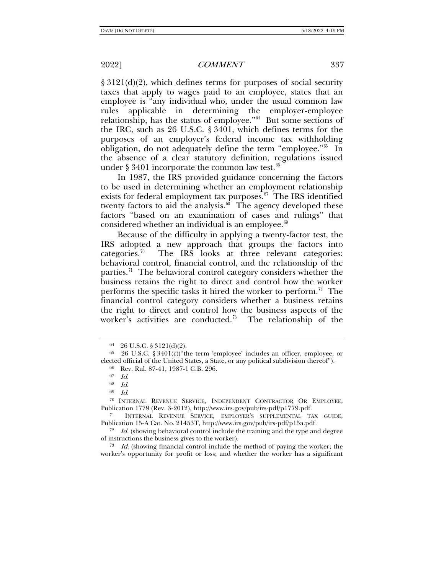§ 3121(d)(2), which defines terms for purposes of social security taxes that apply to wages paid to an employee, states that an employee is "any individual who, under the usual common law rules applicable in determining the employer-employee relationship, has the status of employee."[64](#page-10-0) But some sections of the IRC, such as 26 U.S.C. § 3401, which defines terms for the purposes of an employer's federal income tax withholding obligation, do not adequately define the term "employee."<sup>[65](#page-10-1)</sup> In the absence of a clear statutory definition, regulations issued under § 3401 incorporate the common law test. $66$ 

In 1987, the IRS provided guidance concerning the factors to be used in determining whether an employment relationship exists for federal employment tax purposes. $67$  The IRS identified twenty factors to aid the analysis. $68$  The agency developed these factors "based on an examination of cases and rulings" that considered whether an individual is an employee. $69$ 

Because of the difficulty in applying a twenty-factor test, the IRS adopted a new approach that groups the factors into categories.<sup>70</sup> The IRS looks at three relevant categories: behavioral control, financial control, and the relationship of the parties.<sup>[71](#page-10-7)</sup> The behavioral control category considers whether the business retains the right to direct and control how the worker performs the specific tasks it hired the worker to perform.<sup>72</sup> The financial control category considers whether a business retains the right to direct and control how the business aspects of the worker's activities are conducted.<sup>73</sup> The relationship of the

<sup>64</sup> 26 U.S.C. § 3121(d)(2).

<span id="page-10-3"></span><span id="page-10-2"></span><span id="page-10-1"></span><span id="page-10-0"></span><sup>65</sup> 26 U.S.C. § 3401(c)("the term 'employee' includes an officer, employee, or elected official of the United States, a State, or any political subdivision thereof").

<sup>66</sup> Rev. Rul. 87-41, 1987-1 C.B. 296.

<sup>67</sup> Id.

<sup>68</sup> Id.

<sup>69</sup> Id.

<span id="page-10-6"></span><span id="page-10-5"></span><span id="page-10-4"></span><sup>70</sup> INTERNAL REVENUE SERVICE, INDEPENDENT CONTRACTOR OR EMPLOYEE, Publication 1779 (Rev. 3-2012), http://www.irs.gov/pub/irs-pdf/p1779.pdf.

<span id="page-10-7"></span><sup>71</sup> INTERNAL REVENUE SERVICE, EMPLOYER'S SUPPLEMENTAL TAX GUIDE, Publication 15-A Cat. No. 21453T, http://www.irs.gov/pub/irs-pdf/p15a.pdf.

<span id="page-10-8"></span> $72$  *Id.* (showing behavioral control include the training and the type and degree of instructions the business gives to the worker).

<span id="page-10-9"></span> $73$  Id. (showing financial control include the method of paying the worker; the worker's opportunity for profit or loss; and whether the worker has a significant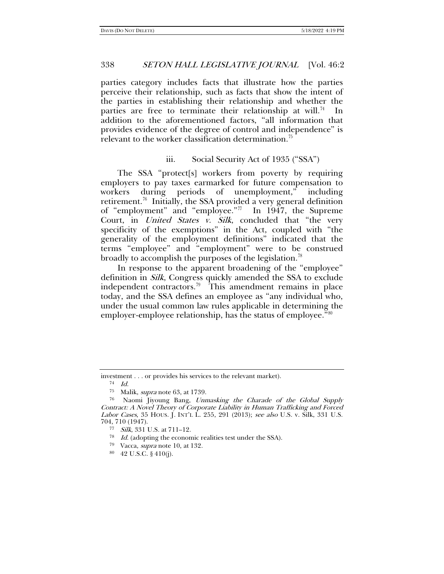parties category includes facts that illustrate how the parties perceive their relationship, such as facts that show the intent of the parties in establishing their relationship and whether the parties are free to terminate their relationship at will.<sup>74</sup> In addition to the aforementioned factors, "all information that provides evidence of the degree of control and independence" is relevant to the worker classification determination.<sup>[75](#page-11-1)</sup>

## <span id="page-11-7"></span>iii. Social Security Act of 1935 ("SSA")

The SSA "protect[s] workers from poverty by requiring employers to pay taxes earmarked for future compensation to workers during periods of unemployment," including retirement.<sup>76</sup> Initially, the SSA provided a very general definition of "employment" and "employee."[77](#page-11-3) In 1947, the Supreme Court, in *United States v. Silk*, concluded that "the very specificity of the exemptions" in the Act, coupled with "the generality of the employment definitions" indicated that the terms "employee" and "employment" were to be construed broadly to accomplish the purposes of the legislation.<sup>[78](#page-11-4)</sup>

In response to the apparent broadening of the "employee" definition in *Silk*, Congress quickly amended the SSA to exclude independent contractors.<sup>[79](#page-11-5)</sup> This amendment remains in place today, and the SSA defines an employee as "any individual who, under the usual common law rules applicable in determining the employer-employee relationship, has the status of employee."<sup>[80](#page-11-6)</sup>

<span id="page-11-0"></span>investment . . . or provides his services to the relevant market).

<sup>74</sup> Id.

<sup>75</sup> Malik, supra not[e 63,](#page-9-8) at 1739.

<span id="page-11-4"></span><span id="page-11-3"></span><span id="page-11-2"></span><span id="page-11-1"></span><sup>76</sup> Naomi Jiyoung Bang, Unmasking the Charade of the Global Supply Contract: A Novel Theory of Corporate Liability in Human Trafficking and Forced Labor Cases, 35 HOUS. J. INT'L L. 255, 291 (2013); see also U.S. v. Silk, 331 U.S. 704, 710 (1947).

<sup>77</sup> Silk, 331 U.S. at 711–12.

<span id="page-11-5"></span><sup>78</sup> Id. (adopting the economic realities test under the SSA).

<sup>79</sup> Vacca, supra not[e 10,](#page-3-0) at 132.

<span id="page-11-6"></span><sup>80</sup> 42 U.S.C. § 410(j).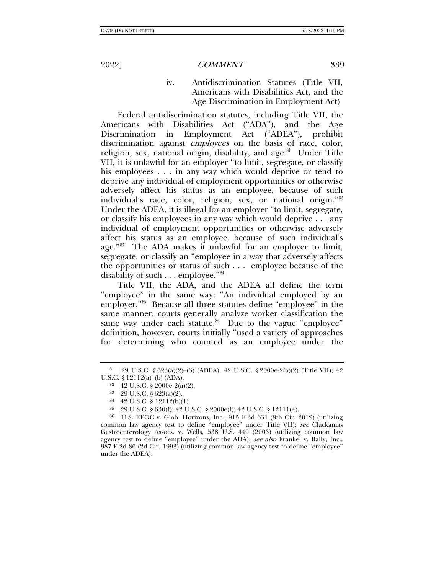iv. Antidiscrimination Statutes (Title VII, Americans with Disabilities Act, and the Age Discrimination in Employment Act)

Federal antidiscrimination statutes, including Title VII, the Americans with Disabilities Act ("ADA"), and the Age Discrimination in Employment Act ("ADEA"), prohibit discrimination against *employees* on the basis of race, color, religion, sex, national origin, disability, and  $age.^{81}$  $age.^{81}$  $age.^{81}$  Under Title VII, it is unlawful for an employer "to limit, segregate, or classify his employees . . . in any way which would deprive or tend to deprive any individual of employment opportunities or otherwise adversely affect his status as an employee, because of such individual's race, color, religion, sex, or national origin."[82](#page-12-1) Under the ADEA, it is illegal for an employer "to limit, segregate, or classify his employees in any way which would deprive . . . any individual of employment opportunities or otherwise adversely affect his status as an employee, because of such individual's age."[83](#page-12-2) The ADA makes it unlawful for an employer to limit, segregate, or classify an "employee in a way that adversely affects the opportunities or status of such . . . employee because of the disability of such . . . employee."[84](#page-12-3)

Title VII, the ADA, and the ADEA all define the term "employee" in the same way: "An individual employed by an employer."[85](#page-12-4) Because all three statutes define "employee" in the same manner, courts generally analyze worker classification the same way under each statute. $86$  Due to the vague "employee" definition, however, courts initially "used a variety of approaches for determining who counted as an employee under the

<span id="page-12-1"></span><span id="page-12-0"></span><sup>81</sup> 29 U.S.C. § 623(a)(2)–(3) (ADEA); 42 U.S.C. § 2000e-2(a)(2) (Title VII); 42 U.S.C. § 12112(a)–(b) (ADA).

<sup>82</sup> 42 U.S.C. § 2000e-2(a)(2).

<sup>83</sup> 29 U.S.C. § 623(a)(2).

<sup>84</sup> 42 U.S.C. § 12112(b)(1).

<sup>85</sup> 29 U.S.C. § 630(f); 42 U.S.C. § 2000e(f); 42 U.S.C. § 12111(4).

<span id="page-12-5"></span><span id="page-12-4"></span><span id="page-12-3"></span><span id="page-12-2"></span><sup>86</sup> U.S. EEOC v. Glob. Horizons, Inc., 915 F.3d 631 (9th Cir. 2019) (utilizing common law agency test to define "employee" under Title VII); see Clackamas Gastroenterology Assocs. v. Wells, 538 U.S. 440 (2003) (utilizing common law agency test to define "employee" under the ADA); see also Frankel v. Bally, Inc., 987 F.2d 86 (2d Cir. 1993) (utilizing common law agency test to define "employee" under the ADEA).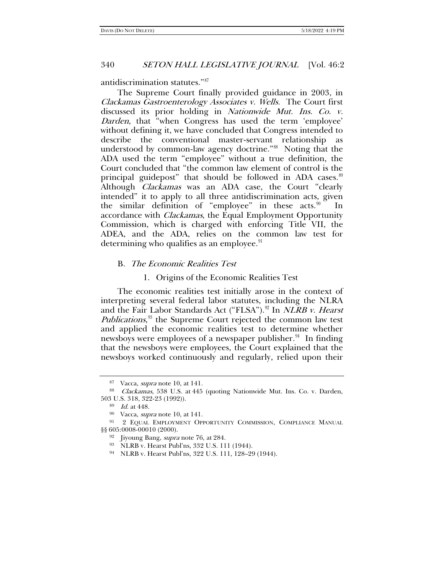antidiscrimination statutes."[87](#page-13-0)

The Supreme Court finally provided guidance in 2003, in Clackamas Gastroenterology Associates v. Wells. The Court first discussed its prior holding in Nationwide Mut. Ins. Co. v. Darden, that "when Congress has used the term 'employee' without defining it, we have concluded that Congress intended to describe the conventional master-servant relationship as understood by common-law agency doctrine."[88](#page-13-1) Noting that the ADA used the term "employee" without a true definition, the Court concluded that "the common law element of control is the principal guidepost" that should be followed in ADA cases. $89$ Although *Clackamas* was an ADA case, the Court "clearly intended" it to apply to all three antidiscrimination acts, given the similar definition of "employee" in these acts. $90$  In accordance with Clackamas, the Equal Employment Opportunity Commission, which is charged with enforcing Title VII, the ADEA, and the ADA, relies on the common law test for determining who qualifies as an employee. $91$ 

### B. The Economic Realities Test

### 1. Origins of the Economic Realities Test

The economic realities test initially arose in the context of interpreting several federal labor statutes, including the NLRA and the Fair Labor Standards Act ("FLSA").<sup>92</sup> In *NLRB v. Hearst Publications*,<sup>[93](#page-13-6)</sup> the Supreme Court rejected the common law test and applied the economic realities test to determine whether newsboys were employees of a newspaper publisher.<sup>[94](#page-13-7)</sup> In finding that the newsboys were employees, the Court explained that the newsboys worked continuously and regularly, relied upon their

<sup>87</sup> Vacca, supra not[e 10,](#page-3-0) at 141.

<span id="page-13-2"></span><span id="page-13-1"></span><span id="page-13-0"></span><sup>88</sup> Clackamas, 538 U.S. at 445 (quoting Nationwide Mut. Ins. Co. v. Darden, 503 U.S. 318, 322-23 (1992)).

<sup>89</sup> Id. at 448.

<sup>90</sup> Vacca, supra not[e 10,](#page-3-0) at 141.

<span id="page-13-7"></span><span id="page-13-6"></span><span id="page-13-5"></span><span id="page-13-4"></span><span id="page-13-3"></span><sup>&</sup>lt;sup>91</sup> 2 EQUAL EMPLOYMENT OPPORTUNITY COMMISSION, COMPLIANCE MANUAL §§ 605:0008-00010 (2000).

<sup>&</sup>lt;sup>92</sup> Jiyoung Bang, *supra* note [76,](#page-11-7) at 284.

<sup>93</sup> NLRB v. Hearst Publ'ns, 332 U.S. 111 (1944).

<sup>94</sup> NLRB v. Hearst Publ'ns, 322 U.S. 111, 128–29 (1944).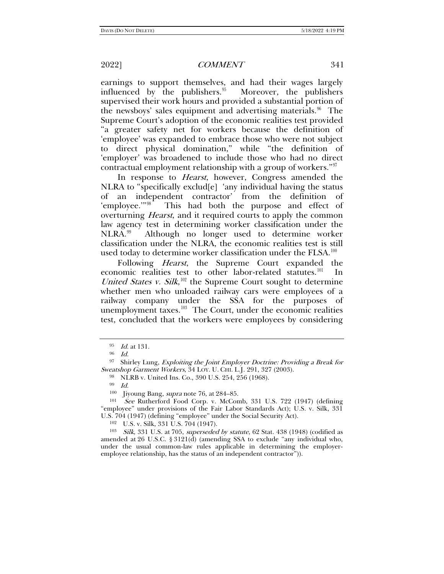earnings to support themselves, and had their wages largely influenced by the publishers. $95$  Moreover, the publishers supervised their work hours and provided a substantial portion of the newsboys' sales equipment and advertising materials.<sup>[96](#page-14-1)</sup> The Supreme Court's adoption of the economic realities test provided "a greater safety net for workers because the definition of 'employee' was expanded to embrace those who were not subject to direct physical domination," while "the definition of 'employer' was broadened to include those who had no direct contractual employment relationship with a group of workers."[97](#page-14-2)

In response to *Hearst*, however, Congress amended the NLRA to "specifically exclud[e] 'any individual having the status of an independent contractor' from the definition of 'employee."<sup>[98](#page-14-3)</sup> This had both the purpose and effect of overturning *Hearst*, and it required courts to apply the common law agency test in determining worker classification under the NLRA.<sup>99</sup> Although no longer used to determine worker classification under the NLRA, the economic realities test is still used today to determine worker classification under the  $FLSA$ .<sup>[100](#page-14-5)</sup>

Following Hearst, the Supreme Court expanded the economic realities test to other labor-related statutes.<sup>101</sup> In United States v. Silk,  $\frac{102}{2}$  $\frac{102}{2}$  $\frac{102}{2}$  the Supreme Court sought to determine whether men who unloaded railway cars were employees of a railway company under the SSA for the purposes of unemployment taxes. $103$  The Court, under the economic realities test, concluded that the workers were employees by considering

<span id="page-14-9"></span>

<sup>95</sup> Id. at 131.

<sup>96</sup> Id.

<span id="page-14-3"></span><span id="page-14-2"></span><span id="page-14-1"></span><span id="page-14-0"></span><sup>97</sup> Shirley Lung, Exploiting the Joint Employer Doctrine: Providing a Break for Sweatshop Garment Workers, 34 LOY. U. CHI. L.J. 291, 327 (2003).

<sup>98</sup> NLRB v. United Ins. Co., 390 U.S. 254, 256 (1968).

<sup>99</sup> Id.

<sup>&</sup>lt;sup>100</sup> Jiyoung Bang, *supra* note [76,](#page-11-7) at 284–85.<br><sup>101</sup> See Butherford Food Corp. y. McCor

<span id="page-14-6"></span><span id="page-14-5"></span><span id="page-14-4"></span>See Rutherford Food Corp. v. McComb, 331 U.S. 722 (1947) (defining "employee" under provisions of the Fair Labor Standards Act); U.S. v. Silk, 331 U.S. 704 (1947) (defining "employee" under the Social Security Act).

<sup>102</sup> U.S. v. Silk, 331 U.S. 704 (1947).

<span id="page-14-8"></span><span id="page-14-7"></span><sup>103</sup> Silk, 331 U.S. at 705, superseded by statute, 62 Stat. 438 (1948) (codified as amended at 26 U.S.C. § 3121(d) (amending SSA to exclude "any individual who, under the usual common-law rules applicable in determining the employeremployee relationship, has the status of an independent contractor")).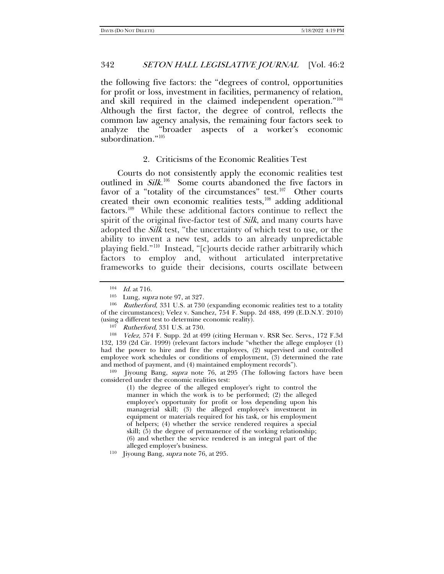the following five factors: the "degrees of control, opportunities for profit or loss, investment in facilities, permanency of relation, and skill required in the claimed independent operation."<sup>[104](#page-15-0)</sup> Although the first factor, the degree of control, reflects the common law agency analysis, the remaining four factors seek to analyze the "broader aspects of a worker's economic subordination."[105](#page-15-1)

### 2. Criticisms of the Economic Realities Test

Courts do not consistently apply the economic realities test outlined in Silk.<sup>[106](#page-15-2)</sup> Some courts abandoned the five factors in favor of a "totality of the circumstances" test. $107$  Other courts created their own economic realities tests, $108$  adding additional factors.[109](#page-15-5) While these additional factors continue to reflect the spirit of the original five-factor test of *Silk*, and many courts have adopted the Silk test, "the uncertainty of which test to use, or the ability to invent a new test, adds to an already unpredictable playing field."[110](#page-15-6) Instead, "[c]ourts decide rather arbitrarily which factors to employ and, without articulated interpretative frameworks to guide their decisions, courts oscillate between

<span id="page-15-4"></span><span id="page-15-3"></span><sup>108</sup> Velez, 574 F. Supp. 2d at 499 (citing Herman v. RSR Sec. Servs., 172 F.3d 132, 139 (2d Cir. 1999) (relevant factors include "whether the allege employer (1) had the power to hire and fire the employees, (2) supervised and controlled employee work schedules or conditions of employment, (3) determined the rate and method of payment, and (4) maintained employment records").

<span id="page-15-5"></span><sup>109</sup> Jiyoung Bang, *supra* note [76,](#page-11-7) at 295 (The following factors have been considered under the economic realities test:

> (1) the degree of the alleged employer's right to control the manner in which the work is to be performed; (2) the alleged employee's opportunity for profit or loss depending upon his managerial skill; (3) the alleged employee's investment in equipment or materials required for his task, or his employment of helpers; (4) whether the service rendered requires a special skill; (5) the degree of permanence of the working relationship; (6) and whether the service rendered is an integral part of the alleged employer's business.

<span id="page-15-6"></span>110 Jiyoung Bang, *supra* note [76,](#page-11-7) at 295.

<sup>104</sup> Id. at 716.

<sup>105</sup> Lung, supra note [97,](#page-14-9) at 327.

<span id="page-15-2"></span><span id="page-15-1"></span><span id="page-15-0"></span><sup>&</sup>lt;sup>106</sup> Rutherford, 331 U.S. at 730 (expanding economic realities test to a totality of the circumstances); Velez v. Sanchez, 754 F. Supp. 2d 488, 499 (E.D.N.Y. 2010) (using a different test to determine economic reality).

<sup>107</sup> Rutherford, 331 U.S. at 730.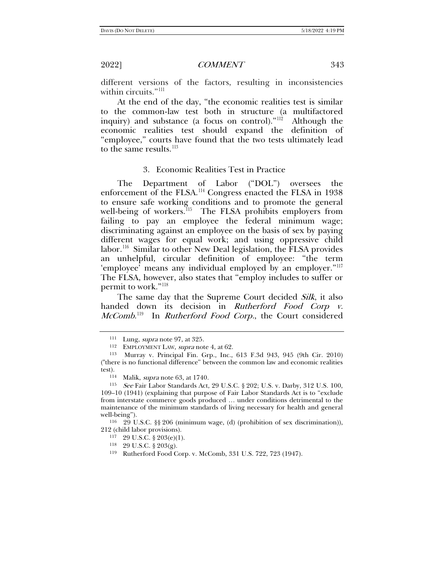different versions of the factors, resulting in inconsistencies within circuits."<sup>[111](#page-16-0)</sup>

At the end of the day, "the economic realities test is similar to the common-law test both in structure (a multifactored inquiry) and substance (a focus on control)."[112](#page-16-1) Although the economic realities test should expand the definition of "employee," courts have found that the two tests ultimately lead to the same results.<sup>[113](#page-16-2)</sup>

### 3. Economic Realities Test in Practice

The Department of Labor ("DOL") oversees the enforcement of the FLSA.<sup>[114](#page-16-3)</sup> Congress enacted the FLSA in 1938 to ensure safe working conditions and to promote the general well-being of workers.<sup>115</sup> The FLSA prohibits employers from failing to pay an employee the federal minimum wage; discriminating against an employee on the basis of sex by paying different wages for equal work; and using oppressive child labor.[116](#page-16-5) Similar to other New Deal legislation, the FLSA provides an unhelpful, circular definition of employee: "the term 'employee' means any individual employed by an employer."[117](#page-16-6) The FLSA, however, also states that "employ includes to suffer or permit to work."<sup>118</sup>

The same day that the Supreme Court decided Silk, it also handed down its decision in Rutherford Food Corp v. *McComb*.<sup>119</sup> In *Rutherford Food Corp.*, the Court considered

<span id="page-16-8"></span><span id="page-16-7"></span><span id="page-16-6"></span><span id="page-16-5"></span><sup>116</sup> 29 U.S.C. §§ 206 (minimum wage, (d) (prohibition of sex discrimination)), 212 (child labor provisions).

<sup>&</sup>lt;sup>111</sup> Lung, *supra* note [97,](#page-14-9) at 325.

<sup>112</sup> EMPLOYMENT LAW, supra note [4,](#page-1-5) at 62.

<span id="page-16-2"></span><span id="page-16-1"></span><span id="page-16-0"></span><sup>113</sup> Murray v. Principal Fin. Grp., Inc., 613 F.3d 943, 945 (9th Cir. 2010) ("there is no functional difference" between the common law and economic realities test).

<sup>114</sup> Malik, supra note [63,](#page-9-8) at 1740.

<span id="page-16-4"></span><span id="page-16-3"></span><sup>115</sup> See Fair Labor Standards Act, 29 U.S.C. § 202; U.S. v. Darby, 312 U.S. 100, 109–10 (1941) (explaining that purpose of Fair Labor Standards Act is to "exclude from interstate commerce goods produced … under conditions detrimental to the maintenance of the minimum standards of living necessary for health and general well-being").

<sup>117</sup> 29 U.S.C. § 203(e)(1).

<sup>118</sup> 29 U.S.C. § 203(g).

<sup>119</sup> Rutherford Food Corp. v. McComb, 331 U.S. 722, 723 (1947).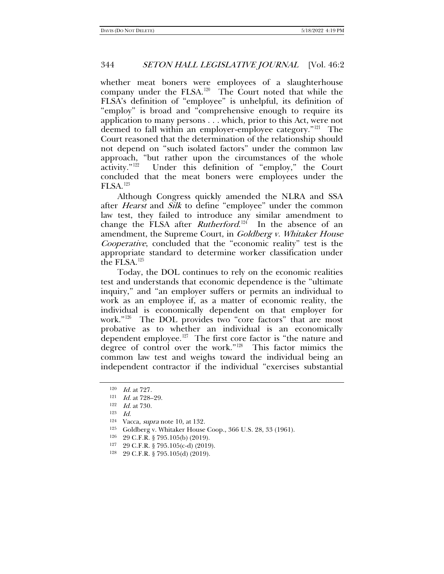whether meat boners were employees of a slaughterhouse company under the FLSA.<sup>120</sup> The Court noted that while the FLSA's definition of "employee" is unhelpful, its definition of "employ" is broad and "comprehensive enough to require its application to many persons . . . which, prior to this Act, were not deemed to fall within an employer-employee category."[121](#page-17-1) The Court reasoned that the determination of the relationship should not depend on "such isolated factors" under the common law approach, "but rather upon the circumstances of the whole activity."[122](#page-17-2) Under this definition of "employ," the Court concluded that the meat boners were employees under the FLSA.[123](#page-17-3)

Although Congress quickly amended the NLRA and SSA after *Hearst* and *Silk* to define "employee" under the common law test, they failed to introduce any similar amendment to change the FLSA after *Rutherford*.<sup>[124](#page-17-4)</sup> In the absence of an amendment, the Supreme Court, in Goldberg v. Whitaker House Cooperative, concluded that the "economic reality" test is the appropriate standard to determine worker classification under the FLSA.[125](#page-17-5)

Today, the DOL continues to rely on the economic realities test and understands that economic dependence is the "ultimate inquiry," and "an employer suffers or permits an individual to work as an employee if, as a matter of economic reality, the individual is economically dependent on that employer for work."[126](#page-17-6) The DOL provides two "core factors" that are most probative as to whether an individual is an economically dependent employee.<sup>127</sup> The first core factor is "the nature and degree of control over the work."[128](#page-17-8) This factor mimics the common law test and weighs toward the individual being an independent contractor if the individual "exercises substantial

<span id="page-17-0"></span> $120$  *Id.* at 727.

<sup>&</sup>lt;sup>121</sup> *Id.* at 728-29.

<span id="page-17-3"></span><span id="page-17-2"></span><span id="page-17-1"></span><sup>122</sup> Id. at 730.

<sup>123</sup> Id.

<sup>124</sup> Vacca, supra note [10,](#page-3-0) at 132.

<span id="page-17-6"></span><span id="page-17-5"></span><span id="page-17-4"></span><sup>125</sup> Goldberg v. Whitaker House Coop., 366 U.S. 28, 33 (1961).

<sup>126</sup> 29 C.F.R. § 795.105(b) (2019).

<span id="page-17-7"></span><sup>127</sup> 29 C.F.R. § 795.105(c-d) (2019).

<span id="page-17-8"></span><sup>128</sup> 29 C.F.R. § 795.105(d) (2019).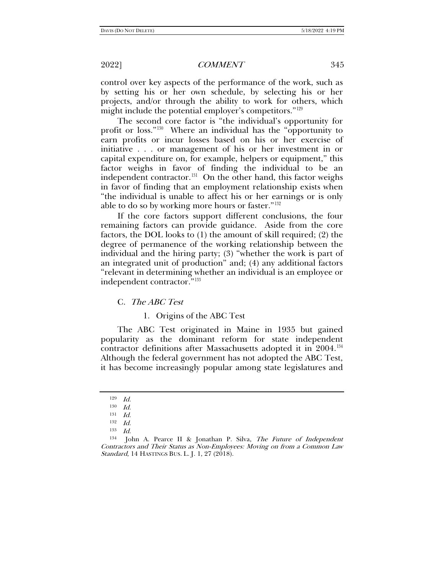control over key aspects of the performance of the work, such as by setting his or her own schedule, by selecting his or her projects, and/or through the ability to work for others, which might include the potential employer's competitors."<sup>[129](#page-18-0)</sup>

The second core factor is "the individual's opportunity for profit or loss."[130](#page-18-1) Where an individual has the "opportunity to earn profits or incur losses based on his or her exercise of initiative . . . or management of his or her investment in or capital expenditure on, for example, helpers or equipment," this factor weighs in favor of finding the individual to be an independent contractor.<sup>131</sup> On the other hand, this factor weighs in favor of finding that an employment relationship exists when "the individual is unable to affect his or her earnings or is only able to do so by working more hours or faster."[132](#page-18-3)

If the core factors support different conclusions, the four remaining factors can provide guidance. Aside from the core factors, the DOL looks to (1) the amount of skill required; (2) the degree of permanence of the working relationship between the individual and the hiring party; (3) "whether the work is part of an integrated unit of production" and; (4) any additional factors "relevant in determining whether an individual is an employee or independent contractor."[133](#page-18-4)

C. The ABC Test

<span id="page-18-6"></span>1. Origins of the ABC Test

The ABC Test originated in Maine in 1935 but gained popularity as the dominant reform for state independent contractor definitions after Massachusetts adopted it in 2004.<sup>[134](#page-18-5)</sup> Although the federal government has not adopted the ABC Test, it has become increasingly popular among state legislatures and

<sup>129</sup> Id.

<sup>130</sup> Id.

<sup>131</sup> Id.

<sup>132</sup> Id.

<sup>133</sup>  $Id$ 

<span id="page-18-5"></span><span id="page-18-4"></span><span id="page-18-3"></span><span id="page-18-2"></span><span id="page-18-1"></span><span id="page-18-0"></span><sup>&</sup>lt;sup>134</sup> John A. Pearce II & Jonathan P. Silva, *The Future of Independent* Contractors and Their Status as Non-Employees: Moving on from a Common Law Standard, 14 HASTINGS BUS. L. J. 1, 27 (2018).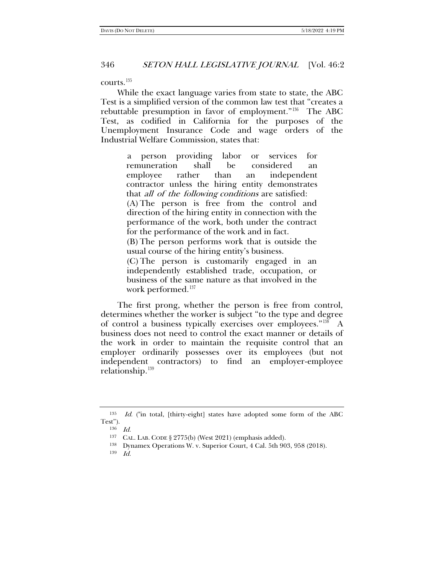courts.[135](#page-19-0)

While the exact language varies from state to state, the ABC Test is a simplified version of the common law test that "creates a rebuttable presumption in favor of employment."[136](#page-19-1) The ABC Test, as codified in California for the purposes of the Unemployment Insurance Code and wage orders of the Industrial Welfare Commission, states that:

a person providing labor or services for remuneration shall be considered an employee rather than an independent contractor unless the hiring entity demonstrates that all of the following conditions are satisfied: (A) The person is free from the control and direction of the hiring entity in connection with the performance of the work, both under the contract for the performance of the work and in fact.

(B) The person performs work that is outside the usual course of the hiring entity's business.

(C) The person is customarily engaged in an independently established trade, occupation, or business of the same nature as that involved in the work performed.<sup>[137](#page-19-2)</sup>

The first prong, whether the person is free from control, determines whether the worker is subject "to the type and degree of control a business typically exercises over employees."[138](#page-19-3) A business does not need to control the exact manner or details of the work in order to maintain the requisite control that an employer ordinarily possesses over its employees (but not independent contractors) to find an employer-employee relationship.[139](#page-19-4)

<span id="page-19-4"></span><span id="page-19-3"></span><span id="page-19-2"></span><span id="page-19-1"></span><span id="page-19-0"></span><sup>135</sup> Id. ("in total, [thirty-eight] states have adopted some form of the ABC Test").

<sup>136</sup> Id.

<sup>137</sup> CAL. LAB. CODE § 2775(b) (West 2021) (emphasis added).

<sup>138</sup> Dynamex Operations W. v. Superior Court, 4 Cal. 5th 903, 958 (2018).

<sup>139</sup> Id.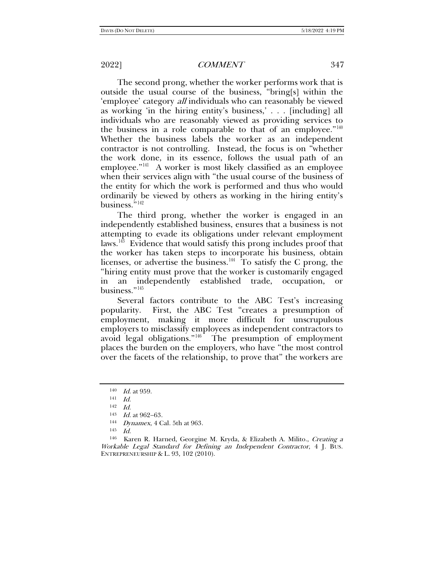The second prong, whether the worker performs work that is outside the usual course of the business, "bring[s] within the 'employee' category all individuals who can reasonably be viewed as working 'in the hiring entity's business,' . . . [including] all individuals who are reasonably viewed as providing services to the business in a role comparable to that of an employee."[140](#page-20-0) Whether the business labels the worker as an independent contractor is not controlling. Instead, the focus is on "whether the work done, in its essence, follows the usual path of an employee."<sup>141</sup> A worker is most likely classified as an employee when their services align with "the usual course of the business of the entity for which the work is performed and thus who would ordinarily be viewed by others as working in the hiring entity's business."<sup>[142](#page-20-2)</sup>

The third prong, whether the worker is engaged in an independently established business, ensures that a business is not attempting to evade its obligations under relevant employment laws.<sup>[143](#page-20-3)</sup> Evidence that would satisfy this prong includes proof that the worker has taken steps to incorporate his business, obtain licenses, or advertise the business.<sup>[144](#page-20-4)</sup> To satisfy the C prong, the "hiring entity must prove that the worker is customarily engaged in an independently established trade, occupation, or business."[145](#page-20-5)

Several factors contribute to the ABC Test's increasing popularity. First, the ABC Test "creates a presumption of employment, making it more difficult for unscrupulous employers to misclassify employees as independent contractors to avoid legal obligations." $146$  The presumption of employment places the burden on the employers, who have "the most control over the facets of the relationship, to prove that" the workers are

<span id="page-20-1"></span><span id="page-20-0"></span><sup>140</sup> *Id.* at 959.

<sup>141</sup> Id.

<sup>142</sup> Id.

<sup>143</sup> Id. at 962−63.

<sup>144</sup> Dynamex, 4 Cal. 5th at 963.

<sup>145</sup> Id.

<span id="page-20-6"></span><span id="page-20-5"></span><span id="page-20-4"></span><span id="page-20-3"></span><span id="page-20-2"></span><sup>146</sup> Karen R. Harned, Georgine M. Kryda, & Elizabeth A. Milito., Creating a Workable Legal Standard for Defining an Independent Contractor, 4 J. BUS. ENTREPRENEURSHIP & L. 93, 102 (2010).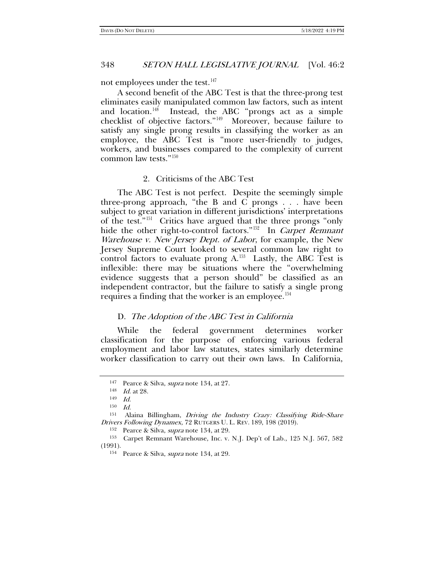not employees under the test.<sup>[147](#page-21-0)</sup>

A second benefit of the ABC Test is that the three-prong test eliminates easily manipulated common law factors, such as intent and location.<sup>148</sup> Instead, the ABC "prongs act as a simple Instead, the ABC "prongs act as a simple checklist of objective factors."[149](#page-21-2) Moreover, because failure to satisfy any single prong results in classifying the worker as an employee, the ABC Test is "more user-friendly to judges, workers, and businesses compared to the complexity of current common law tests."[150](#page-21-3)

# 2. Criticisms of the ABC Test

The ABC Test is not perfect. Despite the seemingly simple three-prong approach, "the B and C prongs . . . have been subject to great variation in different jurisdictions' interpretations of the test."[151](#page-21-4) Critics have argued that the three prongs "only hide the other right-to-control factors."<sup>152</sup> In *Carpet Remnant* Warehouse v. New Jersey Dept. of Labor, for example, the New Jersey Supreme Court looked to several common law right to control factors to evaluate prong  $A$ <sup>153</sup> Lastly, the ABC Test is inflexible: there may be situations where the "overwhelming evidence suggests that a person should" be classified as an independent contractor, but the failure to satisfy a single prong requires a finding that the worker is an employee.<sup>[154](#page-21-7)</sup>

### D. The Adoption of the ABC Test in California

While the federal government determines worker classification for the purpose of enforcing various federal employment and labor law statutes, states similarly determine worker classification to carry out their own laws. In California,

<sup>&</sup>lt;sup>147</sup> Pearce & Silva, *supra* note [134,](#page-18-6) at 27.

 $148$  *Id.* at 28.

<sup>149</sup> Id.

 $150$  *Id.* 

<span id="page-21-4"></span><span id="page-21-3"></span><span id="page-21-2"></span><span id="page-21-1"></span><span id="page-21-0"></span><sup>151</sup> Alaina Billingham, Driving the Industry Crazy: Classifying Ride-Share Drivers Following Dynamex, 72 RUTGERS U. L. REV. 189, 198 (2019).

<sup>&</sup>lt;sup>152</sup> Pearce & Silva, *supra* note [134,](#page-18-6) at 29.

<span id="page-21-7"></span><span id="page-21-6"></span><span id="page-21-5"></span><sup>153</sup> Carpet Remnant Warehouse, Inc. v. N.J. Dep't of Lab., 125 N.J. 567, 582 (1991).

<sup>154</sup> Pearce & Silva, supra note [134,](#page-18-6) at 29.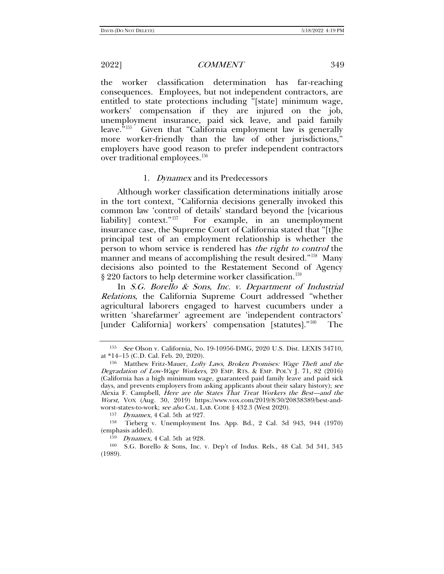the worker classification determination has far-reaching consequences. Employees, but not independent contractors, are entitled to state protections including "[state] minimum wage, workers' compensation if they are injured on the job, unemployment insurance, paid sick leave, and paid family leave.<sup>"[155](#page-22-0)</sup> Given that "California employment law is generally more worker-friendly than the law of other jurisdictions," employers have good reason to prefer independent contractors over traditional employees.<sup>[156](#page-22-1)</sup>

### 1. Dynamex and its Predecessors

Although worker classification determinations initially arose in the tort context, "California decisions generally invoked this common law 'control of details' standard beyond the [vicarious liability] context."<sup>157</sup> For example, in an unemployment For example, in an unemployment insurance case, the Supreme Court of California stated that "[t]he principal test of an employment relationship is whether the person to whom service is rendered has *the right to control* the manner and means of accomplishing the result desired."[158](#page-22-3) Many decisions also pointed to the Restatement Second of Agency § 220 factors to help determine worker classification.<sup>[159](#page-22-4)</sup>

In S.G. Borello & Sons, Inc. v. Department of Industrial Relations, the California Supreme Court addressed "whether agricultural laborers engaged to harvest cucumbers under a written 'sharefarmer' agreement are 'independent contractors' [under California] workers' compensation [statutes]."<sup>[160](#page-22-5)</sup> The

<sup>157</sup> Dynamex, 4 Cal. 5th at 927.

<span id="page-22-0"></span><sup>155</sup> See Olson v. California, No. 19-10956-DMG, 2020 U.S. Dist. LEXIS 34710, at \*14−15 (C.D. Cal. Feb. 20, 2020).

<span id="page-22-1"></span><sup>156</sup> Matthew Fritz-Mauer, Lofty Laws, Broken Promises: Wage Theft and the Degradation of Low-Wage Workers, 20 EMP. RTS. & EMP. POL'Y J. 71, 82 (2016) (California has a high minimum wage, guaranteed paid family leave and paid sick days, and prevents employers from asking applicants about their salary history); see Alexia F. Campbell, *Here are the States That Treat Workers the Best—and the* Worst, VOX (Aug. 30, 2019) https://www.vox.com/2019/8/30/20838389/best-andworst-states-to-work; see also CAL. LAB. CODE § 432.3 (West 2020).

<span id="page-22-3"></span><span id="page-22-2"></span><sup>158</sup> Tieberg v. Unemployment Ins. App. Bd., 2 Cal. 3d 943, 944 (1970) (emphasis added).

<sup>159</sup> Dynamex, 4 Cal. 5th at 928.

<span id="page-22-5"></span><span id="page-22-4"></span><sup>160</sup> S.G. Borello & Sons, Inc. v. Dep't of Indus. Rels., 48 Cal. 3d 341, 345 (1989).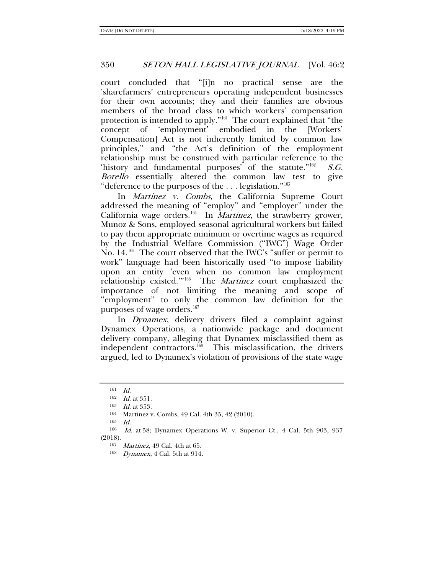court concluded that "[i]n no practical sense are the 'sharefarmers' entrepreneurs operating independent businesses for their own accounts; they and their families are obvious members of the broad class to which workers' compensation protection is intended to apply."[161](#page-23-0) The court explained that "the concept of 'employment' embodied in the [Workers' Compensation] Act is not inherently limited by common law principles," and "the Act's definition of the employment relationship must be construed with particular reference to the 'history and fundamental purposes' of the statute." $162$  S.G. Borello essentially altered the common law test to give "deference to the purposes of the . . . legislation."[163](#page-23-2)

In Martinez v. Combs, the California Supreme Court addressed the meaning of "employ" and "employer" under the California wage orders.<sup>164</sup> In *Martinez*, the strawberry grower, Munoz & Sons, employed seasonal agricultural workers but failed to pay them appropriate minimum or overtime wages as required by the Industrial Welfare Commission ("IWC") Wage Order No. 14.<sup>[165](#page-23-4)</sup> The court observed that the IWC's "suffer or permit to work" language had been historically used "to impose liability upon an entity 'even when no common law employment relationship existed.'"[166](#page-23-5) The Martinez court emphasized the importance of not limiting the meaning and scope of "employment" to only the common law definition for the purposes of wage orders.<sup>[167](#page-23-6)</sup>

In Dynamex, delivery drivers filed a complaint against Dynamex Operations, a nationwide package and document delivery company, alleging that Dynamex misclassified them as independent contractors.<sup>168</sup> This misclassification, the drivers argued, led to Dynamex's violation of provisions of the state wage

165 Id.

<sup>161</sup> Id.

 $162$  *Id.* at 351.

 $\frac{163}{164}$  *Id.* at 353.

Martinez v. Combs, 49 Cal. 4th 35, 42 (2010).

<span id="page-23-7"></span><span id="page-23-6"></span><span id="page-23-5"></span><span id="page-23-4"></span><span id="page-23-3"></span><span id="page-23-2"></span><span id="page-23-1"></span><span id="page-23-0"></span><sup>166</sup> Id. at 58; Dynamex Operations W. v. Superior Ct., 4 Cal. 5th 903, 937 (2018).

<sup>167</sup> Martinez, 49 Cal. 4th at 65.

<sup>168</sup> Dynamex, 4 Cal. 5th at 914.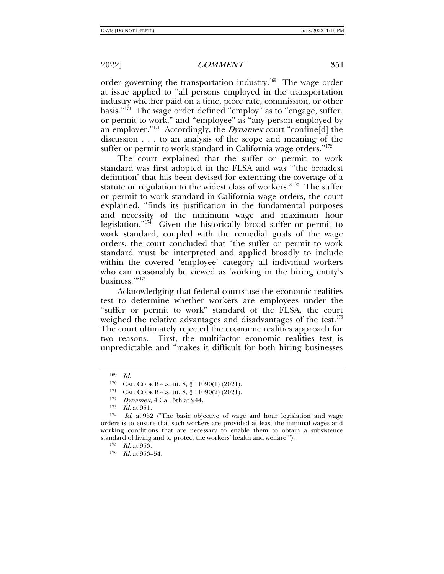order governing the transportation industry.[169](#page-24-0) The wage order at issue applied to "all persons employed in the transportation industry whether paid on a time, piece rate, commission, or other basis."<sup>170</sup> The wage order defined "employ" as to "engage, suffer, or permit to work," and "employee" as "any person employed by an employer."<sup>[171](#page-24-2)</sup> Accordingly, the *Dynamex* court "confine[d] the discussion . . . to an analysis of the scope and meaning of the suffer or permit to work standard in California wage orders."<sup>[172](#page-24-3)</sup>

The court explained that the suffer or permit to work standard was first adopted in the FLSA and was "'the broadest definition' that has been devised for extending the coverage of a statute or regulation to the widest class of workers."[173](#page-24-4) The suffer or permit to work standard in California wage orders, the court explained, "finds its justification in the fundamental purposes and necessity of the minimum wage and maximum hour legislation."<sup>174</sup> Given the historically broad suffer or permit to work standard, coupled with the remedial goals of the wage orders, the court concluded that "the suffer or permit to work standard must be interpreted and applied broadly to include within the covered 'employee' category all individual workers who can reasonably be viewed as 'working in the hiring entity's business."<sup>175</sup>

Acknowledging that federal courts use the economic realities test to determine whether workers are employees under the "suffer or permit to work" standard of the FLSA, the court weighed the relative advantages and disadvantages of the test.<sup>[176](#page-24-7)</sup> The court ultimately rejected the economic realities approach for two reasons. First, the multifactor economic realities test is unpredictable and "makes it difficult for both hiring businesses

<sup>169</sup> Id.

<sup>170</sup> CAL. CODE REGS. tit. 8, § 11090(1) (2021).

<sup>171</sup> CAL. CODE REGS. tit. 8, § 11090(2) (2021).

<sup>172</sup> Dynamex, 4 Cal. 5th at 944.

 $173$  *Id.* at  $951$ .

<span id="page-24-7"></span><span id="page-24-6"></span><span id="page-24-5"></span><span id="page-24-4"></span><span id="page-24-3"></span><span id="page-24-2"></span><span id="page-24-1"></span><span id="page-24-0"></span> $174$  *Id.* at 952 ("The basic objective of wage and hour legislation and wage orders is to ensure that such workers are provided at least the minimal wages and working conditions that are necessary to enable them to obtain a subsistence standard of living and to protect the workers' health and welfare.").

<sup>175</sup> *Id.* at 953.

 $176$  *Id.* at 953-54.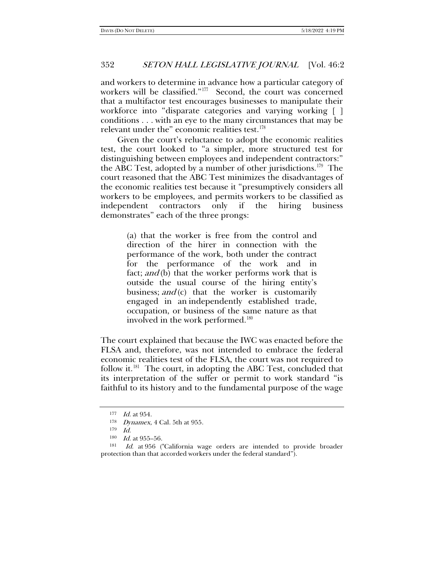and workers to determine in advance how a particular category of workers will be classified."[177](#page-25-0) Second, the court was concerned that a multifactor test encourages businesses to manipulate their workforce into "disparate categories and varying working [ ] conditions . . . with an eye to the many circumstances that may be relevant under the" economic realities test.<sup>[178](#page-25-1)</sup>

Given the court's reluctance to adopt the economic realities test, the court looked to "a simpler, more structured test for distinguishing between employees and independent contractors:" the ABC Test, adopted by a number of other jurisdictions.<sup>179</sup> The court reasoned that the ABC Test minimizes the disadvantages of the economic realities test because it "presumptively considers all workers to be employees, and permits workers to be classified as independent contractors only if the hiring business demonstrates" each of the three prongs:

> (a) that the worker is free from the control and direction of the hirer in connection with the performance of the work, both under the contract for the performance of the work and in fact; and (b) that the worker performs work that is outside the usual course of the hiring entity's business;  $and$ (c) that the worker is customarily engaged in an independently established trade, occupation, or business of the same nature as that involved in the work performed.<sup>[180](#page-25-3)</sup>

The court explained that because the IWC was enacted before the FLSA and, therefore, was not intended to embrace the federal economic realities test of the FLSA, the court was not required to follow it.<sup>[181](#page-25-4)</sup> The court, in adopting the ABC Test, concluded that its interpretation of the suffer or permit to work standard "is faithful to its history and to the fundamental purpose of the wage

<sup>177</sup> *Id.* at 954.

<sup>178</sup> Dynamex, 4 Cal. 5th at 955.

<sup>179</sup> Id.

<sup>180</sup> *Id.* at 955–56.

<span id="page-25-4"></span><span id="page-25-3"></span><span id="page-25-2"></span><span id="page-25-1"></span><span id="page-25-0"></span>Id. at 956 ("California wage orders are intended to provide broader protection than that accorded workers under the federal standard").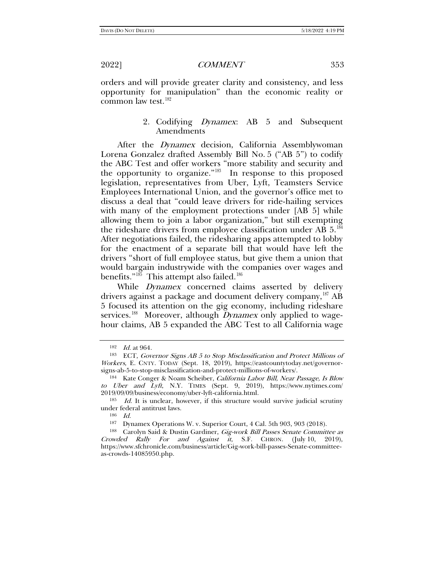orders and will provide greater clarity and consistency, and less opportunity for manipulation" than the economic reality or common law test.[182](#page-26-0)

# 2. Codifying *Dynamex*: AB 5 and Subsequent Amendments

After the *Dynamex* decision, California Assemblywoman Lorena Gonzalez drafted Assembly Bill No. 5 ("AB 5") to codify the ABC Test and offer workers "more stability and security and the opportunity to organize."<sup>[183](#page-26-1)</sup> In response to this proposed legislation, representatives from Uber, Lyft, Teamsters Service Employees International Union, and the governor's office met to discuss a deal that "could leave drivers for ride-hailing services with many of the employment protections under [AB 5] while allowing them to join a labor organization," but still exempting the rideshare drivers from employee classification under AB 5.[184](#page-26-2) After negotiations failed, the ridesharing apps attempted to lobby for the enactment of a separate bill that would have left the drivers "short of full employee status, but give them a union that would bargain industrywide with the companies over wages and benefits."<sup>[185](#page-26-3)</sup> This attempt also failed.<sup>[186](#page-26-4)</sup>

While *Dynamex* concerned claims asserted by delivery drivers against a package and document delivery company,<sup>[187](#page-26-5)</sup> AB 5 focused its attention on the gig economy, including rideshare services.<sup>[188](#page-26-6)</sup> Moreover, although *Dynamex* only applied to wagehour claims, AB 5 expanded the ABC Test to all California wage

<sup>182</sup> Id. at 964.

<span id="page-26-1"></span><span id="page-26-0"></span><sup>183</sup> ECT, Governor Signs AB 5 to Stop Misclassification and Protect Millions of Workers, E. CNTY. TODAY (Sept. 18, 2019), https://eastcountytoday.net/governorsigns-ab-5-to-stop-misclassification-and-protect-millions-of-workers/.

<span id="page-26-2"></span><sup>&</sup>lt;sup>184</sup> Kate Conger & Noam Scheiber, *California Labor Bill, Near Passage, Is Blow* to Uber and Lyft, N.Y. TIMES (Sept. 9, 2019), [https://www.nytimes.com/](https://www.nytimes.com/2019/09/09/business/economy/uber-lyft-california.html)  $2019/09/09/b$ usiness/economy/uber-lyft-california.html.<br><sup>185</sup> Id. It is unclear, however, if this structure would survive judicial scrutiny

<span id="page-26-4"></span><span id="page-26-3"></span>under federal antitrust laws.

<sup>186</sup> Id.

<sup>187</sup> Dynamex Operations W. v. Superior Court, 4 Cal. 5th 903, 903 (2018).

<span id="page-26-6"></span><span id="page-26-5"></span><sup>188</sup> Carolyn Said & Dustin Gardiner, Gig-work Bill Passes Senate Committee as Crowded Rally For and Against it, S.F. CHRON. (July 10, 2019), [https://www.sfchronicle.com/business/article/Gig-work-bill-passes-Senate-committee](https://www.sfchronicle.com/business/article/Gig-work-bill-passes-Senate-committee-as-crowds-14085950.php)[as-crowds-14085950.php.](https://www.sfchronicle.com/business/article/Gig-work-bill-passes-Senate-committee-as-crowds-14085950.php)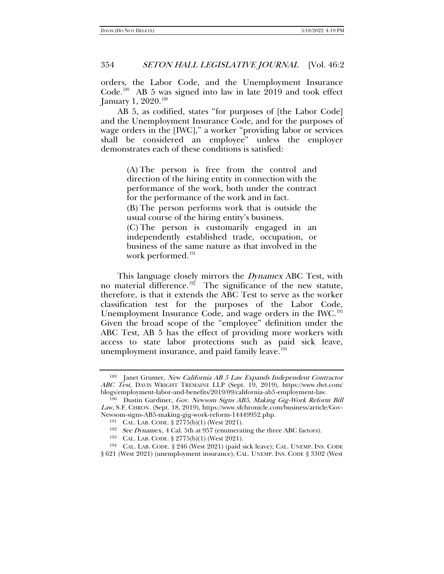orders, the Labor Code, and the Unemployment Insurance Code.<sup>[189](#page-27-0)</sup> AB 5 was signed into law in late  $2019$  and took effect January 1, 2020.<sup>[190](#page-27-1)</sup>

AB 5, as codified, states "for purposes of [the Labor Code] and the Unemployment Insurance Code, and for the purposes of wage orders in the [IWC]," a worker "providing labor or services shall be considered an employee" unless the employer demonstrates each of these conditions is satisfied:

> (A) The person is free from the control and direction of the hiring entity in connection with the performance of the work, both under the contract for the performance of the work and in fact.

> (B) The person performs work that is outside the usual course of the hiring entity's business.

> (C) The person is customarily engaged in an independently established trade, occupation, or business of the same nature as that involved in the work performed.<sup>[191](#page-27-2)</sup>

This language closely mirrors the *Dynamex* ABC Test, with no material difference.<sup>192</sup> The significance of the new statute, therefore, is that it extends the ABC Test to serve as the worker classification test for the purposes of the Labor Code, Unemployment Insurance Code, and wage orders in the IWC.<sup>[193](#page-27-4)</sup> Given the broad scope of the "employee" definition under the ABC Test, AB 5 has the effect of providing more workers with access to state labor protections such as paid sick leave, unemployment insurance, and paid family leave.<sup> $194$ </sup>

<span id="page-27-0"></span><sup>&</sup>lt;sup>189</sup> Janet Grumer, New California AB 5 Law Expands Independent Contractor ABC Test, DAVIS WRIGHT TREMAINE LLP (Sept. 19, 2019), [https://www.dwt.com/](https://www.dwt.com/blogs/employment-labor-and-benefits/2019/09/california-ab5-employment-law) [blogs/employment-labor-and-benefits/2019/09/california-ab5-employment-law.](https://www.dwt.com/blogs/employment-labor-and-benefits/2019/09/california-ab5-employment-law) 190 Dustin Gardiner, Gov. Newsom Signs AB5, Making Gig-Work Reform Bill

<span id="page-27-2"></span><span id="page-27-1"></span>Law, S.F. CHRON. (Sept. 18, 2019), [https://www.sfchronicle.com/business/article/Gov-](https://www.sfchronicle.com/business/article/Gov-Newsom-signs-AB5-making-gig-work-reform-14449952.php)[Newsom-signs-AB5-making-gig-work-reform-14449952.php.](https://www.sfchronicle.com/business/article/Gov-Newsom-signs-AB5-making-gig-work-reform-14449952.php)

<sup>191</sup> CAL. LAB. CODE. § 2775(b)(1) (West 2021).

<sup>&</sup>lt;sup>192</sup> See Dynamex, 4 Cal. 5th at 957 (enumerating the three ABC factors).

<sup>193</sup> CAL. LAB. CODE. § 2775(b)(1) (West 2021).

<span id="page-27-5"></span><span id="page-27-4"></span><span id="page-27-3"></span><sup>194</sup> CAL. LAB. CODE. § 246 (West 2021) (paid sick leave); CAL. UNEMP. INS. CODE § 621 (West 2021) (unemployment insurance); CAL. UNEMP. INS. CODE § 3302 (West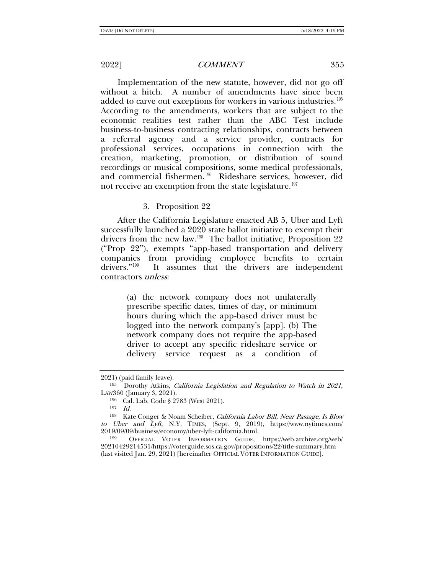Implementation of the new statute, however, did not go off without a hitch. A number of amendments have since been added to carve out exceptions for workers in various industries.<sup>[195](#page-28-0)</sup> According to the amendments, workers that are subject to the economic realities test rather than the ABC Test include business-to-business contracting relationships, contracts between a referral agency and a service provider, contracts for professional services, occupations in connection with the creation, marketing, promotion, or distribution of sound recordings or musical compositions, some medical professionals, and commercial fishermen.<sup>196</sup> Rideshare services, however, did not receive an exemption from the state legislature.<sup>[197](#page-28-2)</sup>

### 3. Proposition 22

After the California Legislature enacted AB 5, Uber and Lyft successfully launched a 2020 state ballot initiative to exempt their drivers from the new law.<sup>[198](#page-28-3)</sup> The ballot initiative, Proposition 22 ("Prop 22"), exempts "app-based transportation and delivery companies from providing employee benefits to certain drivers."[199](#page-28-4) It assumes that the drivers are independent contractors unless:

> <span id="page-28-5"></span>(a) the network company does not unilaterally prescribe specific dates, times of day, or minimum hours during which the app-based driver must be logged into the network company's [app]. (b) The network company does not require the app-based driver to accept any specific rideshare service or delivery service request as a condition of

<sup>2021) (</sup>paid family leave).

<span id="page-28-0"></span><sup>&</sup>lt;sup>195</sup> Dorothy Atkins, *California Legislation and Regulation to Watch in 2021*, LAW360 (January 3, 2021).

<sup>196</sup> Cal. Lab. Code § 2783 (West 2021).

<sup>197</sup> Id.

<span id="page-28-3"></span><span id="page-28-2"></span><span id="page-28-1"></span><sup>198</sup> Kate Conger & Noam Scheiber, California Labor Bill, Near Passage, Is Blow to Uber and Lyft, N.Y. TIMES, (Sept. 9, 2019), https://www.nytimes.com/ 2019/09/09/business/economy/uber-lyft-california.html.

<span id="page-28-4"></span><sup>199</sup> OFFICIAL VOTER INFORMATION GUIDE, https://web.archive.org/web/ 20210429214531/https://voterguide.sos.ca.gov/propositions/22/title-summary.htm (last visited Jan. 29, 2021) [hereinafter OFFICIAL VOTER INFORMATION GUIDE].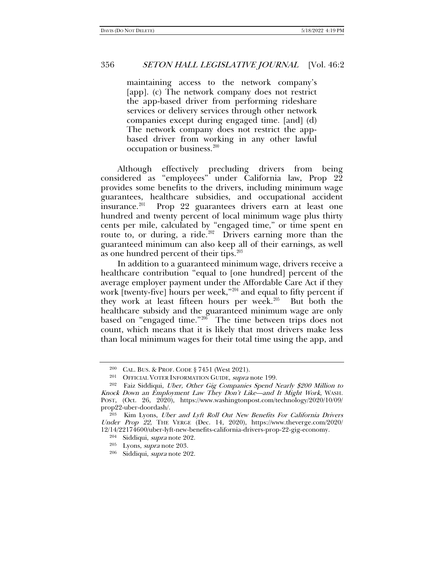maintaining access to the network company's [app]. (c) The network company does not restrict the app-based driver from performing rideshare services or delivery services through other network companies except during engaged time. [and] (d) The network company does not restrict the appbased driver from working in any other lawful occupation or business.<sup>[200](#page-29-2)</sup>

Although effectively precluding drivers from being considered as "employees" under California law, Prop 22 provides some benefits to the drivers, including minimum wage guarantees, healthcare subsidies, and occupational accident insurance.<sup>[201](#page-29-3)</sup> Prop 22 guarantees drivers earn at least one hundred and twenty percent of local minimum wage plus thirty cents per mile, calculated by "engaged time," or time spent en route to, or during, a ride.<sup>202</sup> Drivers earning more than the guaranteed minimum can also keep all of their earnings, as well as one hundred percent of their tips. $203$ 

<span id="page-29-1"></span><span id="page-29-0"></span>In addition to a guaranteed minimum wage, drivers receive a healthcare contribution "equal to [one hundred] percent of the average employer payment under the Affordable Care Act if they work [twenty-five] hours per week," $204$  and equal to fifty percent if they work at least fifteen hours per week.<sup>205</sup> But both the healthcare subsidy and the guaranteed minimum wage are only based on "engaged time."<sup>[206](#page-29-8)</sup> The time between trips does not count, which means that it is likely that most drivers make less than local minimum wages for their total time using the app, and

<sup>205</sup> Lyons, supra note [203.](#page-29-1)

<sup>200</sup> CAL. BUS. & PROF. CODE § 7451 (West 2021).

<sup>201</sup> OFFICIAL VOTER INFORMATION GUIDE, supra note [199.](#page-28-5)

<span id="page-29-4"></span><span id="page-29-3"></span><span id="page-29-2"></span><sup>&</sup>lt;sup>202</sup> Faiz Siddiqui, Uber, Other Gig Companies Spend Nearly \$200 Million to Knock Down an Employment Law They Don't Like—and It Might Work, WASH. POST, (Oct. 26, 2020), https://www.washingtonpost.com/technology/2020/10/09/ prop22-uber-doordash/.

<span id="page-29-8"></span><span id="page-29-7"></span><span id="page-29-6"></span><span id="page-29-5"></span><sup>&</sup>lt;sup>203</sup> Kim Lyons, *Uber and Lyft Roll Out New Benefits For California Drivers* Under Prop 22, THE VERGE (Dec. 14, 2020), https://www.theverge.com/2020/ 12/14/22174600/uber-lyft-new-benefits-california-drivers-prop-22-gig-economy.

<sup>204</sup> Siddiqui, supra note [202.](#page-29-0)

<sup>206</sup> Siddiqui, supra note [202.](#page-29-0)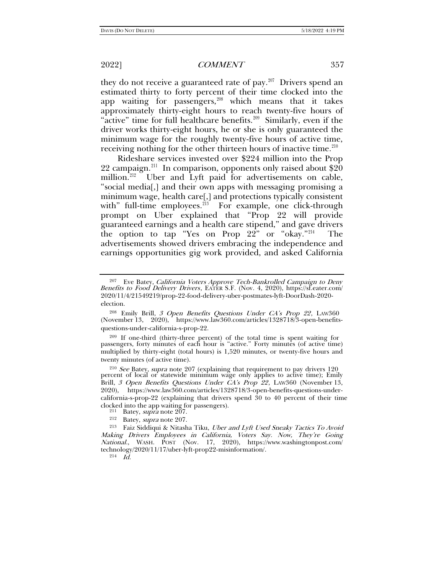<span id="page-30-10"></span>they do not receive a guaranteed rate of pay.<sup>207</sup> Drivers spend an estimated thirty to forty percent of their time clocked into the app waiting for passengers, $208$  which means that it takes approximately thirty-eight hours to reach twenty-five hours of "active" time for full healthcare benefits.<sup>209</sup> Similarly, even if the driver works thirty-eight hours, he or she is only guaranteed the minimum wage for the roughly twenty-five hours of active time, receiving nothing for the other thirteen hours of inactive time.<sup>[210](#page-30-4)</sup>

<span id="page-30-9"></span>Rideshare services invested over \$224 million into the Prop 22 campaign.<sup>[211](#page-30-5)</sup> In comparison, opponents only raised about  $\$20$ million. $212$  Uber and Lyft paid for advertisements on cable, "social media[,] and their own apps with messaging promising a minimum wage, health care[,] and protections typically consistent with" full-time employees. $213$  For example, one click-through prompt on Uber explained that "Prop 22 will provide guaranteed earnings and a health care stipend," and gave drivers the option to tap "Yes on Prop 22" or "okay."[214](#page-30-8) The advertisements showed drivers embracing the independence and earnings opportunities gig work provided, and asked California

<span id="page-30-3"></span><sup>209</sup> If one-third (thirty-three percent) of the total time is spent waiting for passengers, forty minutes of each hour is "active." Forty minutes (of active time) multiplied by thirty-eight (total hours) is 1,520 minutes, or twenty-five hours and twenty minutes (of active time).

<span id="page-30-4"></span><sup>210</sup> See Batey, supra not[e 207](#page-30-0) (explaining that requirement to pay drivers 120) percent of local or statewide minimum wage only applies to active time); Emily Brill, 3 [Open Benefits Questions Under CA](https://www.law360.com/articles/1328718/3-open-benefits-questions-under-california-s-prop-22)'[s Prop 22](https://www.law360.com/articles/1328718/3-open-benefits-questions-under-california-s-prop-22), LAW360 (November 13, 2020), [https://www](https://www.law360.com/articles/1328718/3-open-benefits-questions-under-california-s-prop-22).law360.com/articles/1328718/3-open-benefits-questions-undercalifornia-s-prop-22 (explaining that drivers spend 30 to 40 percent of their time clocked into the app wait[ing fo](#page-30-0)r passengers).  $\frac{211}{211}$  Batey, supra note 207.

- 
- 

<span id="page-30-8"></span><span id="page-30-7"></span><span id="page-30-6"></span><span id="page-30-5"></span><sup>212</sup> Batey, *supra* note [207.](#page-30-0)<br><sup>213</sup> Faiz Siddiqui & Nitasha Tiku, *Uber and Lyft Used Sneaky Tactics To Avoid* Making Drivers Employees in California, Voters Say. Now, They're Going National., WASH. POST (Nov. 17, 2020), https://www.washingtonpost.com/ technology/2020/11/17/uber-lyft-prop22-misinformation/.

 $2^{14}$  *Id.* 

<span id="page-30-0"></span>

<span id="page-30-1"></span><sup>&</sup>lt;sup>207</sup> Eve Batey, *California Voters Approve Tech-Bankrolled Campaign to Deny* Benefits to Food Delivery Drivers, EATER S.F. (Nov. 4, 2020), https://sf.eater.com/ 2020/11/4/21549219/prop-22-food-delivery-uber-postmates-lyft-DoorDash-2020 election.

<span id="page-30-2"></span><sup>&</sup>lt;sup>208</sup> Emily Brill, 3 Open Benefits Questions Under CA's Prop 22, LAW360 (November 13, 2020), https://www.law360.com/articles/1328718/3-open-benefitsquestions-under-california-s-prop-22.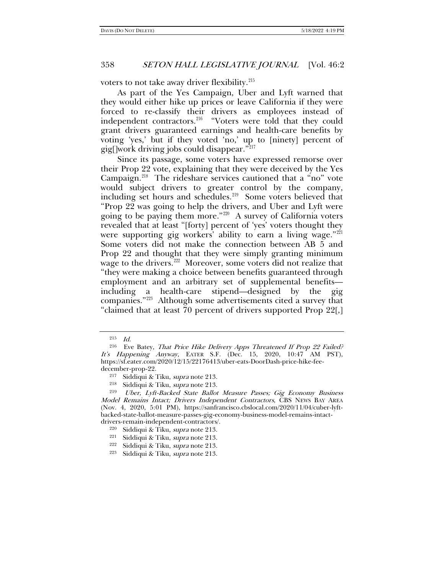voters to not take away driver flexibility. $215$ 

As part of the Yes Campaign, Uber and Lyft warned that they would either hike up prices or leave California if they were forced to re-classify their drivers as employees instead of independent contractors.<sup>[216](#page-31-1)</sup> "Voters were told that they could grant drivers guaranteed earnings and health-care benefits by voting 'yes,' but if they voted 'no,' up to [ninety] percent of gig[]work driving jobs could disappear."[217](#page-31-2)

Since its passage, some voters have expressed remorse over their Prop 22 vote, explaining that they were deceived by the Yes Campaign.[218](#page-31-3) The rideshare services cautioned that a "no" vote would subject drivers to greater control by the company, including set hours and schedules.<sup>219</sup> Some voters believed that "Prop 22 was going to help the drivers, and Uber and Lyft were going to be paying them more."[220](#page-31-5) A survey of California voters revealed that at least "[forty] percent of 'yes' voters thought they were supporting gig workers' ability to earn a living wage." $221$ Some voters did not make the connection between AB 5 and Prop 22 and thought that they were simply granting minimum wage to the drivers.<sup>[222](#page-31-7)</sup> Moreover, some voters did not realize that "they were making a choice between benefits guaranteed through employment and an arbitrary set of supplemental benefits including a health-care stipend—designed by the gig companies."[223](#page-31-8) Although some advertisements cited a survey that "claimed that at least 70 percent of drivers supported Prop 22[,]

<sup>215</sup> Id.

<span id="page-31-1"></span><span id="page-31-0"></span><sup>&</sup>lt;sup>216</sup> Eve Batey, That Price Hike Delivery Apps Threatened If Prop 22 Failed? It's Happening Anyway, EATER S.F. (Dec. 15, 2020, 10:47 AM PST), https://sf.eater.com/2020/12/15/22176413/uber-eats-DoorDash-price-hike-feedecember-prop-22.

<sup>217</sup> Siddiqui & Tiku, supra note [213.](#page-30-9)

<sup>&</sup>lt;sup>218</sup> Siddiqui & Tiku, *supra* note [213.](#page-30-9)<br><sup>219</sup> *Uber. Lyft-Backed State Ballot* 

<span id="page-31-5"></span><span id="page-31-4"></span><span id="page-31-3"></span><span id="page-31-2"></span>Uber, Lyft-Backed State Ballot Measure Passes; Gig Economy Business Model Remains Intact; Drivers Independent Contractors, CBS NEWS BAY AREA (Nov. 4, 2020, 5:01 PM), https://sanfrancisco.cbslocal.com/2020/11/04/cuber-lyftbacked-state-ballot-measure-passes-gig-economy-business-model-remains-intactdrivers-remain-independent-contractors/.

<sup>220</sup> Siddiqui & Tiku, supra note [213.](#page-30-9)

<span id="page-31-6"></span><sup>221</sup> Siddiqui & Tiku, supra note [213.](#page-30-9)

<span id="page-31-7"></span><sup>&</sup>lt;sup>222</sup> Siddiqui & Tiku, *supra* note [213.](#page-30-9)

<span id="page-31-8"></span><sup>223</sup> Siddiqui & Tiku, supra note [213.](#page-30-9)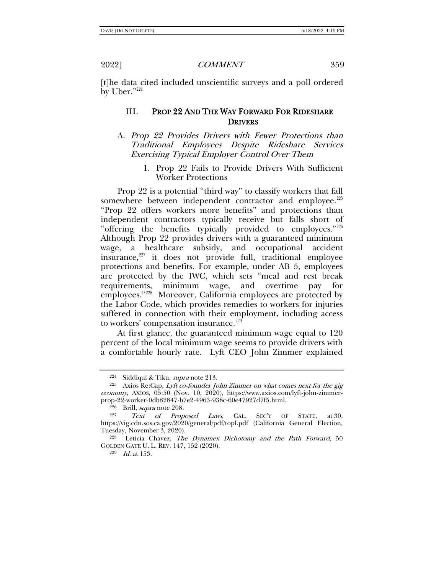[t]he data cited included unscientific surveys and a poll ordered by Uber."[224](#page-32-0)

# III. PROP 22 AND THE WAY FORWARD FOR RIDESHARE DRIVERS

# A. Prop 22 Provides Drivers with Fewer Protections than Traditional Employees Despite Rideshare Services Exercising Typical Employer Control Over Them

1. Prop 22 Fails to Provide Drivers With Sufficient Worker Protections

Prop 22 is a potential "third way" to classify workers that fall somewhere between independent contractor and employee.<sup>[225](#page-32-1)</sup> "Prop 22 offers workers more benefits" and protections than independent contractors typically receive but falls short of "offering the benefits typically provided to employees."[226](#page-32-2) Although Prop 22 provides drivers with a guaranteed minimum wage, a healthcare subsidy, and occupational accident insurance,<sup>[227](#page-32-3)</sup> it does not provide full, traditional employee protections and benefits. For example, under AB 5, employees are protected by the IWC, which sets "meal and rest break requirements, minimum wage, and overtime pay for employees."<sup>228</sup> Moreover, California employees are protected by the Labor Code, which provides remedies to workers for injuries suffered in connection with their employment, including access to workers' compensation insurance.<sup>[229](#page-32-5)</sup>

At first glance, the guaranteed minimum wage equal to 120 percent of the local minimum wage seems to provide drivers with a comfortable hourly rate. Lyft CEO John Zimmer explained

<sup>229</sup> Id. at 153.

<span id="page-32-6"></span>

<span id="page-32-1"></span><span id="page-32-0"></span><sup>&</sup>lt;sup>224</sup> Siddiqui & Tiku, *supra* note [213.](#page-30-9)<br><sup>225</sup> Axios Re:Cap, *Lyft co-founder John Zimmer on what comes next for the gig* economy, Axios, 05:50 (Nov. 10, 2020), https://www.axios.com/lyft-john-zimmerprop-22-worker-0db82847-b7e2-4963-938c-60e47927d7f5.html.

<span id="page-32-3"></span><span id="page-32-2"></span><sup>&</sup>lt;sup>226</sup> Brill, *supra* note 208.<br><sup>227</sup> *Text of Proposed Laws*, CAL. SEC'Y OF STATE, at 30, https://vig.cdn.sos.ca.gov/2020/general/pdf/topl.pdf (California General Election, Tuesday, November 3, 2020).<br><sup>228</sup> Leticia Chavez, *The Dynamex Dichotomy and the Path Forward*, 50

<span id="page-32-5"></span><span id="page-32-4"></span>GOLDEN GATE U. L. REV. 147, 152 (2020).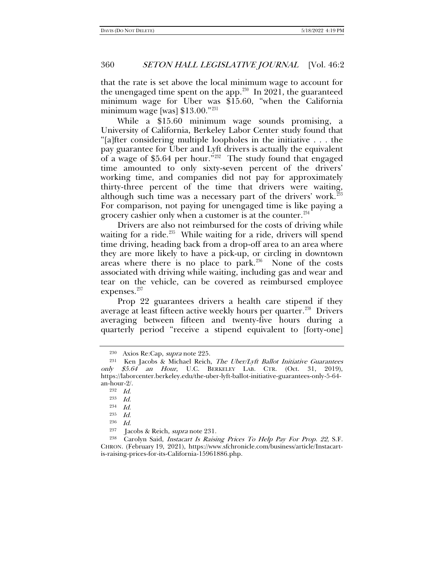that the rate is set above the local minimum wage to account for the unengaged time spent on the app.<sup>[230](#page-33-1)</sup> In 2021, the guaranteed minimum wage for Uber was \$15.60, "when the California minimum wage [was] \$13.00."<sup>[231](#page-33-2)</sup>

<span id="page-33-10"></span><span id="page-33-0"></span>While a \$15.60 minimum wage sounds promising, a University of California, Berkeley Labor Center study found that "[a]fter considering multiple loopholes in the initiative . . . the pay guarantee for Uber and Lyft drivers is actually the equivalent of a wage of \$5.64 per hour.<sup>"232</sup> The study found that engaged time amounted to only sixty-seven percent of the drivers' working time, and companies did not pay for approximately thirty-three percent of the time that drivers were waiting, although such time was a necessary part of the drivers' work.<sup>[233](#page-33-4)</sup> For comparison, not paying for unengaged time is like paying a grocery cashier only when a customer is at the counter.<sup>[234](#page-33-5)</sup>

Drivers are also not reimbursed for the costs of driving while waiting for a ride.<sup>235</sup> While waiting for a ride, drivers will spend time driving, heading back from a drop-off area to an area where they are more likely to have a pick-up, or circling in downtown areas where there is no place to park. $236$  None of the costs associated with driving while waiting, including gas and wear and tear on the vehicle, can be covered as reimbursed employee expenses.<sup>[237](#page-33-8)</sup>

Prop 22 guarantees drivers a health care stipend if they average at least fifteen active weekly hours per quarter.<sup>[238](#page-33-9)</sup> Drivers averaging between fifteen and twenty-five hours during a quarterly period "receive a stipend equivalent to [forty-one]

234 Id.

236 Id.

<sup>230</sup> Axios Re:Cap, supra note [225.](#page-32-6)

<span id="page-33-4"></span><span id="page-33-3"></span><span id="page-33-2"></span><span id="page-33-1"></span> $231$  Ken Jacobs & Michael Reich, The Uber/Lyft Ballot Initiative Guarantees only \$5.64 an Hour, U.C. BERKELEY LAB. CTR. (Oct. 31, 2019), https://laborcenter.berkeley.edu/the-uber-lyft-ballot-initiative-guarantees-only-5-64 an-hour-2/.

<sup>232</sup> Id.

<sup>233</sup> Id.

<sup>235</sup> Id.

<sup>237</sup> Jacobs & Reich, supra not[e 231.](#page-33-0)

<span id="page-33-9"></span><span id="page-33-8"></span><span id="page-33-7"></span><span id="page-33-6"></span><span id="page-33-5"></span><sup>&</sup>lt;sup>238</sup> Carolyn Said, *Instacart Is Raising Prices To Help Pay For Prop. 22*, S.F. CHRON. (February 19, 2021), https://www.sfchronicle.com/business/article/Instacartis-raising-prices-for-its-California-15961886.php.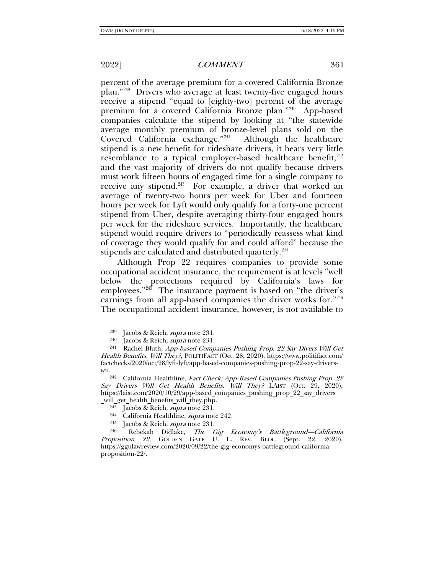percent of the average premium for a covered California Bronze plan."[239](#page-34-1) Drivers who average at least twenty-five engaged hours receive a stipend "equal to [eighty-two] percent of the average premium for a covered California Bronze plan."[240](#page-34-2) App-based companies calculate the stipend by looking at "the statewide average monthly premium of bronze-level plans sold on the Covered California exchange."[241](#page-34-3) Although the healthcare stipend is a new benefit for rideshare drivers, it bears very little resemblance to a typical employer-based healthcare benefit,  $242$ and the vast majority of drivers do not qualify because drivers must work fifteen hours of engaged time for a single company to receive any stipend.<sup>[243](#page-34-5)</sup> For example, a driver that worked an average of twenty-two hours per week for Uber and fourteen hours per week for Lyft would only qualify for a forty-one percent stipend from Uber, despite averaging thirty-four engaged hours per week for the rideshare services. Importantly, the healthcare stipend would require drivers to "periodically reassess what kind of coverage they would qualify for and could afford" because the stipends are calculated and distributed quarterly.<sup>[244](#page-34-6)</sup>

Although Prop 22 requires companies to provide some occupational accident insurance, the requirement is at levels "well below the protections required by California's laws for employees." $245$  The insurance payment is based on "the driver's earnings from all app-based companies the driver works for."[246](#page-34-8) The occupational accident insurance, however, is not available to

<span id="page-34-0"></span>

<sup>&</sup>lt;sup>239</sup> Jacobs & Reich, *supra* note [231.](#page-33-10)<br><sup>240</sup> Jacobs & Reich, *supra* note [231](#page-33-10).<br><sup>241</sup> Rachel Bluth. *Ann-hased Comn* 

<span id="page-34-3"></span><span id="page-34-2"></span><span id="page-34-1"></span>Rachel Bluth, App-based Companies Pushing Prop. 22 Say Divers Will Get Health Benefits. Will They?, POLITIFACT (Oct. 28, 2020), https://www.politifact.com/ factchecks/2020/oct/28/lyft-lyft/app-based-companies-pushing-prop-22-say-drivers-

<span id="page-34-4"></span>wi/.<br><sup>242</sup> California Healthline, *Fact Check: App-Based Companies Pushing Prop. 22* Say Drivers Will Get Health Benefits. Will They? LAIST (Oct. 29, 2020), https://laist.com/2020/10/29/app-based\_companies\_pushing\_prop\_22\_say\_drivers

<span id="page-34-8"></span><span id="page-34-7"></span><span id="page-34-6"></span><span id="page-34-5"></span>\_will\_get\_health\_benefits\_will\_they.php. 243 Jacobs & Reich, supra note [231.](#page-33-10) 244 California Healthline, supra note [242.](#page-34-0) 245 Jacobs & Reich, supra note [231.](#page-33-10) 246 Rebekah Didlake, The Gig Economy's Battleground—California Proposition 22, GOLDEN GATE U. L. REV. BLOG (Sept. 22, 2020), [https://ggulawreview.com/2020/09/22/the-gig-economys-battleground-california](https://ggulawreview.com/2020/09/22/the-gig-economys-battleground-california-proposition-22/)[proposition-22/.](https://ggulawreview.com/2020/09/22/the-gig-economys-battleground-california-proposition-22/)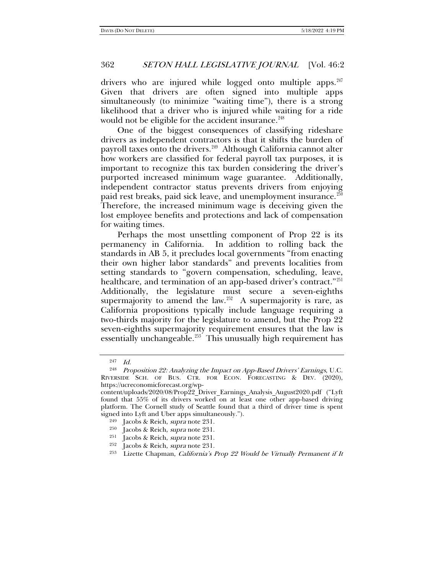drivers who are injured while logged onto multiple apps. $247$ Given that drivers are often signed into multiple apps simultaneously (to minimize "waiting time"), there is a strong likelihood that a driver who is injured while waiting for a ride would not be eligible for the accident insurance.<sup>[248](#page-35-1)</sup>

One of the biggest consequences of classifying rideshare drivers as independent contractors is that it shifts the burden of payroll taxes onto the drivers.[249](#page-35-2) Although California cannot alter how workers are classified for federal payroll tax purposes, it is important to recognize this tax burden considering the driver's purported increased minimum wage guarantee. Additionally, independent contractor status prevents drivers from enjoying paid rest breaks, paid sick leave, and unemployment insurance.<sup>[250](#page-35-3)</sup> Therefore, the increased minimum wage is deceiving given the lost employee benefits and protections and lack of compensation for waiting times.

Perhaps the most unsettling component of Prop 22 is its permanency in California. In addition to rolling back the standards in AB 5, it precludes local governments "from enacting their own higher labor standards" and prevents localities from setting standards to "govern compensation, scheduling, leave, healthcare, and termination of an app-based driver's contract."<sup>[251](#page-35-4)</sup> Additionally, the legislature must secure a seven-eighths supermajority to amend the law.<sup>[252](#page-35-5)</sup> A supermajority is rare, as California propositions typically include language requiring a two-thirds majority for the legislature to amend, but the Prop 22 seven-eighths supermajority requirement ensures that the law is essentially unchangeable.<sup>[253](#page-35-6)</sup> This unusually high requirement has

 $247$  *Id.* 

<span id="page-35-1"></span><span id="page-35-0"></span><sup>&</sup>lt;sup>248</sup> Proposition 22: Analyzing the Impact on App-Based Drivers' Earnings, U.C. RIVERSIDE SCH. OF BUS. CTR. FOR ECON. FORECASTING & DEV. (2020), https://ucreconomicforecast.org/wp-

<span id="page-35-3"></span><span id="page-35-2"></span>content/uploads/2020/08/Prop22\_Driver\_Earnings\_Analysis\_August2020.pdf ("Lyft found that 55% of its drivers worked on at least one other app-based driving platform. The Cornell study of Seattle found that a third of driver time is spent signed into Lyft and Uber apps simultaneously.").

<sup>249</sup> Jacobs & Reich, supra note [231.](#page-33-10)

<sup>&</sup>lt;sup>250</sup> Jacobs & Reich, *supra* note [231.](#page-33-10)

<span id="page-35-4"></span><sup>&</sup>lt;sup>251</sup> Jacobs & Reich, *supra* note [231.](#page-33-10)

<span id="page-35-5"></span><sup>&</sup>lt;sup>252</sup> Jacobs & Reich, *supra* note [231.](#page-33-10)

<span id="page-35-6"></span> $253$  Lizette Chapman, *California's Prop 22 Would be Virtually Permanent if It*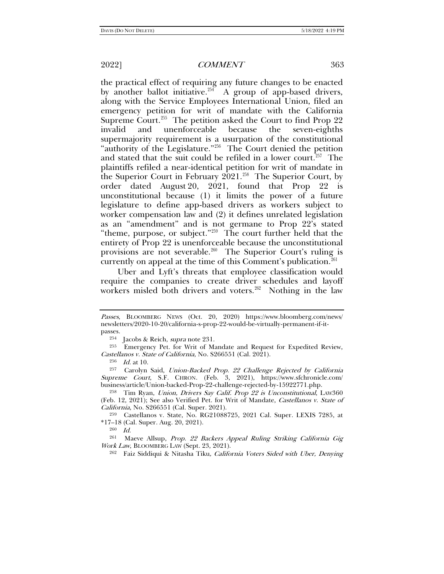the practical effect of requiring any future changes to be enacted by another ballot initiative.<sup>[254](#page-36-0)</sup> A group of app-based drivers, along with the Service Employees International Union, filed an emergency petition for writ of mandate with the California Supreme Court.<sup>255</sup> The petition asked the Court to find Prop 22 invalid and unenforceable because the seven-eighths supermajority requirement is a usurpation of the constitutional "authority of the Legislature."<sup>256</sup> The Court denied the petition and stated that the suit could be refiled in a lower court.<sup> $257$ </sup> The plaintiffs refiled a near-identical petition for writ of mandate in the Superior Court in February  $2021.^{258}$  $2021.^{258}$  $2021.^{258}$  The Superior Court, by order dated August 20, 2021, found that Prop 22 is unconstitutional because (1) it limits the power of a future legislature to define app-based drivers as workers subject to worker compensation law and (2) it defines unrelated legislation as an "amendment" and is not germane to Prop 22's stated "theme, purpose, or subject."[259](#page-36-5) The court further held that the entirety of Prop 22 is unenforceable because the unconstitutional provisions are not severable.<sup>260</sup> The Superior Court's ruling is currently on appeal at the time of this Comment's publication.<sup>[261](#page-36-7)</sup>

Uber and Lyft's threats that employee classification would require the companies to create driver schedules and layoff workers misled both drivers and voters.<sup>262</sup> Nothing in the law

<span id="page-36-9"></span><sup>254</sup> Jacobs & Reich, *supra* note [231.](#page-33-10)

Passes, BLOOMBERG NEWS (Oct. 20, 2020) https://www.bloomberg.com/news/ newsletters/2020-10-20/california-s-prop-22-would-be-virtually-permanent-if-itpasses.

<span id="page-36-1"></span><span id="page-36-0"></span><sup>&</sup>lt;sup>255</sup> Emergency Pet. for Writ of Mandate and Request for Expedited Review, Castellanos v. State of California, No. S266551 (Cal. 2021).

 $^{256}$   $\,$   $Id.$  at 10.

<span id="page-36-3"></span><span id="page-36-2"></span><sup>257</sup> Carolyn Said, Union-Backed Prop. 22 Challenge Rejected by California Supreme Court, S.F. CHRON. (Feb. 3, 2021), https://www.sfchronicle.com/ business/article/Union-backed-Prop-22-challenge-rejected-by-15922771.php.

<span id="page-36-4"></span><sup>&</sup>lt;sup>258</sup> Tim Ryan, Union, Drivers Say Calif. Prop 22 is Unconstitutional, LAW360 (Feb. 12, 2021); See also Verified Pet. for Writ of Mandate, Castellanos v. State of California, No. S266551 (Cal. Super. 2021).

<span id="page-36-6"></span><span id="page-36-5"></span><sup>259</sup> Castellanos v. State, No. RG21088725, 2021 Cal. Super. LEXIS 7285, at \*17–18 (Cal. Super. Aug. 20, 2021).

 $260$  *Id.* 

<span id="page-36-8"></span><span id="page-36-7"></span><sup>261</sup> Maeve Allsup, Prop. 22 Backers Appeal Ruling Striking California Gig Work Law, BLOOMBERG LAW (Sept. 23, 2021).

<sup>&</sup>lt;sup>262</sup> Faiz Siddiqui & Nitasha Tiku, California Voters Sided with Uber, Denying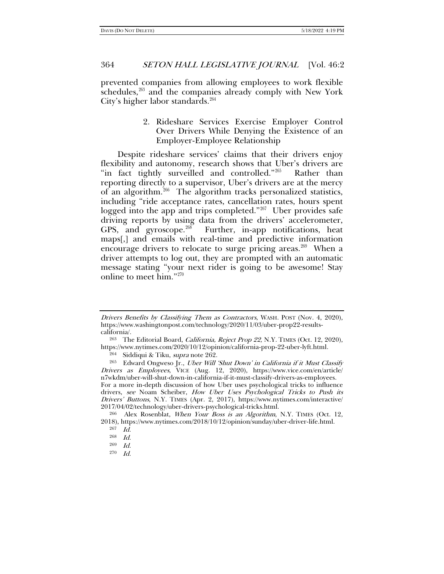prevented companies from allowing employees to work flexible schedules, $263$  and the companies already comply with New York City's higher labor standards. $264$ 

# 2. Rideshare Services Exercise Employer Control Over Drivers While Denying the Existence of an Employer-Employee Relationship

Despite rideshare services' claims that their drivers enjoy flexibility and autonomy, research shows that Uber's drivers are "in fact tightly surveilled and controlled."<sup>[265](#page-37-2)</sup> Rather than reporting directly to a supervisor, Uber's drivers are at the mercy of an algorithm.[266](#page-37-3) The algorithm tracks personalized statistics, including "ride acceptance rates, cancellation rates, hours spent logged into the app and trips completed."<sup>267</sup> Uber provides safe driving reports by using data from the drivers' accelerometer, GPS, and gyroscope.<sup>268</sup> Further, in-app notifications, heat maps[,] and emails with real-time and predictive information encourage drivers to relocate to surge pricing areas.<sup>269</sup> When a driver attempts to log out, they are prompted with an automatic message stating "your next rider is going to be awesome! Stay online to meet him."[270](#page-37-7)

<sup>264</sup> Siddiqui & Tiku, *supra* note [262.](#page-36-9)

<span id="page-37-7"></span><span id="page-37-6"></span><span id="page-37-5"></span><span id="page-37-4"></span><span id="page-37-3"></span><sup>266</sup> Alex Rosenblat, When Your Boss is an Algorithm, N.Y. TIMES (Oct. 12, 2018), https://www.nytimes.com/2018/10/12/opinion/sunday/uber-driver-life.html.

270 Id.

Drivers Benefits by Classifying Them as Contractors, WASH. POST (Nov. 4, 2020), https://www.washingtonpost.com/technology/2020/11/03/uber-prop22-resultscalifornia/.

<span id="page-37-0"></span><sup>&</sup>lt;sup>263</sup> The Editorial Board, *California, Reject Prop 22*, N.Y. TIMES (Oct. 12, 2020), https://www.nytimes.com/2020/10/12/opinion/california-prop-22-uber-lyft.html.

<span id="page-37-2"></span><span id="page-37-1"></span><sup>&</sup>lt;sup>265</sup> Edward Ongweso Jr., Uber Will 'Shut Down' in California if it Must Classify Drivers as Employees, VICE (Aug. 12, 2020), https://www.vice.com/en/article/ n7wkdm/uber-will-shut-down-in-california-if-it-must-classify-drivers-as-employees. For a more in-depth discussion of how Uber uses psychological tricks to influence drivers, see Noam Scheiber, How Uber Uses Psychological Tricks to Push its Drivers' Buttons, N.Y. TIMES (Apr. 2, 2017), https://www.nytimes.com/interactive/ 2017/04/02/technology/uber-drivers-psychological-tricks.html.

<sup>267</sup> Id.

<sup>268</sup> Id.

<sup>269</sup> Id.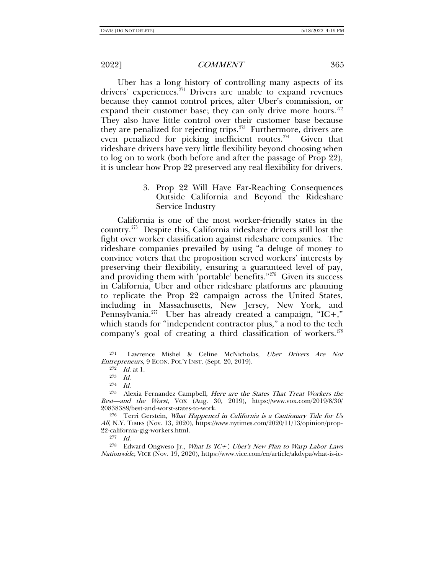Uber has a long history of controlling many aspects of its drivers' experiences.<sup>[271](#page-38-0)</sup> Drivers are unable to expand revenues because they cannot control prices, alter Uber's commission, or expand their customer base; they can only drive more hours. $272$ They also have little control over their customer base because they are penalized for rejecting trips.<sup>273</sup> Furthermore, drivers are even penalized for picking inefficient routes. $274$  Given that rideshare drivers have very little flexibility beyond choosing when to log on to work (both before and after the passage of Prop 22), it is unclear how Prop 22 preserved any real flexibility for drivers.

> 3. Prop 22 Will Have Far-Reaching Consequences Outside California and Beyond the Rideshare Service Industry

California is one of the most worker-friendly states in the country.[275](#page-38-4) Despite this, California rideshare drivers still lost the fight over worker classification against rideshare companies. The rideshare companies prevailed by using "a deluge of money to convince voters that the proposition served workers' interests by preserving their flexibility, ensuring a guaranteed level of pay, and providing them with 'portable' benefits."<sup>276</sup> Given its success in California, Uber and other rideshare platforms are planning to replicate the Prop 22 campaign across the United States, including in Massachusetts, New Jersey, New York, and Pennsylvania.<sup>[277](#page-38-6)</sup> Uber has already created a campaign, "IC+," which stands for "independent contractor plus," a nod to the tech company's goal of creating a third classification of workers.<sup>[278](#page-38-7)</sup>

277 Id.

<span id="page-38-7"></span><span id="page-38-6"></span><sup>278</sup> Edward Ongweso Jr., What Is 'IC+', Uber's New Plan to Warp Labor Laws Nationwide, VICE (Nov. 19, 2020), https://www.vice.com/en/article/akdvpa/what-is-ic-

<span id="page-38-1"></span><span id="page-38-0"></span><sup>271</sup> Lawrence Mishel & Celine McNicholas, Uber Drivers Are Not Entrepreneurs, 9 ECON. POL'Y INST. (Sept. 20, 2019).

 $272$  *Id.* at 1.

<sup>273</sup> Id.

<sup>274</sup> Id.

<span id="page-38-4"></span><span id="page-38-3"></span><span id="page-38-2"></span><sup>&</sup>lt;sup>275</sup> Alexia Fernandez Campbell, *Here are the States That Treat Workers the* Best—and the Worst, VOX (Aug. 30, 2019), https://www.vox.com/2019/8/30/ 20838389/best-and-worst-states-to-work.

<span id="page-38-5"></span><sup>&</sup>lt;sup>276</sup> Terri Gerstein, *What Happened in California is a Cautionary Tale for Us* All, N.Y. TIMES (Nov. 13, 2020), https://www.nytimes.com/2020/11/13/opinion/prop-22-california-gig-workers.html.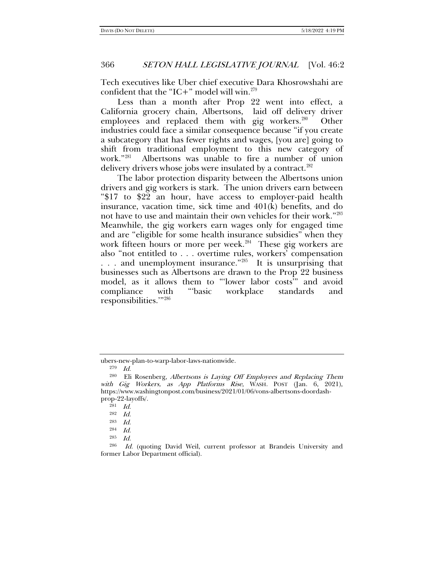Tech executives like Uber chief executive Dara Khosrowshahi are confident that the "IC+" model will win.<sup>[279](#page-39-0)</sup>

Less than a month after Prop 22 went into effect, a California grocery chain, Albertsons, laid off delivery driver employees and replaced them with gig workers.<sup>280</sup> Other industries could face a similar consequence because "if you create a subcategory that has fewer rights and wages, [you are] going to shift from traditional employment to this new category of work."[281](#page-39-2) Albertsons was unable to fire a number of union delivery drivers whose jobs were insulated by a contract.<sup>[282](#page-39-3)</sup>

The labor protection disparity between the Albertsons union drivers and gig workers is stark. The union drivers earn between "\$17 to \$22 an hour, have access to employer-paid health insurance, vacation time, sick time and 401(k) benefits, and do not have to use and maintain their own vehicles for their work."[283](#page-39-4) Meanwhile, the gig workers earn wages only for engaged time and are "eligible for some health insurance subsidies" when they work fifteen hours or more per week.<sup>284</sup> These gig workers are also "not entitled to . . . overtime rules, workers' compensation ... and unemployment insurance."<sup>285</sup> It is unsurprising that businesses such as Albertsons are drawn to the Prop 22 business model, as it allows them to "'lower labor costs'" and avoid compliance with "'basic workplace standards and responsibilities.'"[286](#page-39-7)

ubers-new-plan-to-warp-labor-laws-nationwide.

<sup>279</sup> Id.

<span id="page-39-2"></span><span id="page-39-1"></span><span id="page-39-0"></span><sup>&</sup>lt;sup>280</sup> Eli Rosenberg, Albertsons is Laying Off Employees and Replacing Them with Gig Workers, as App Platforms Rise, WASH. POST (Jan. 6, 2021), https://www.washingtonpost.com/business/2021/01/06/vons-albertsons-doordashprop-22-layoffs/.

 $281$  *Id.* 

<sup>282</sup> Id.

<sup>283</sup> Id.

<sup>284</sup> Id.

<sup>285</sup> Id.

<span id="page-39-7"></span><span id="page-39-6"></span><span id="page-39-5"></span><span id="page-39-4"></span><span id="page-39-3"></span><sup>286</sup> Id. (quoting David Weil, current professor at Brandeis University and former Labor Department official).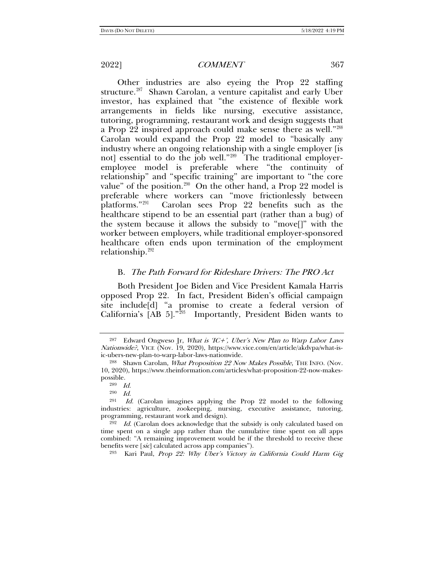Other industries are also eyeing the Prop 22 staffing structure.<sup>287</sup> Shawn Carolan, a venture capitalist and early Uber investor, has explained that "the existence of flexible work arrangements in fields like nursing, executive assistance, tutoring, programming, restaurant work and design suggests that a Prop 22 inspired approach could make sense there as well."[288](#page-40-1) Carolan would expand the Prop 22 model to "basically any industry where an ongoing relationship with a single employer [is not] essential to do the job well." $289$  The traditional employeremployee model is preferable where "the continuity of relationship" and "specific training" are important to "the core value" of the position.<sup>[290](#page-40-3)</sup> On the other hand, a Prop 22 model is preferable where workers can "move frictionlessly between platforms."[291](#page-40-4) Carolan sees Prop 22 benefits such as the healthcare stipend to be an essential part (rather than a bug) of the system because it allows the subsidy to "move[]" with the worker between employers, while traditional employer-sponsored healthcare often ends upon termination of the employment relationship.<sup>[292](#page-40-5)</sup>

# B. The Path Forward for Rideshare Drivers: The PRO Act

Both President Joe Biden and Vice President Kamala Harris opposed Prop 22. In fact, President Biden's official campaign site include[d] "a promise to create a federal version of California's  $[AB 5]$ ."<sup>293</sup> Importantly, President Biden wants to

290 Id.

<sup>293</sup> Kari Paul, Prop 22: Why Uber's Victory in California Could Harm Gig

<span id="page-40-0"></span> $287$  Edward Ongweso Jr, What is 'IC+', Uber's New Plan to Warp Labor Laws Nationwide?, VICE (Nov. 19, 2020), https://www.vice.com/en/article/akdvpa/what-isic-ubers-new-plan-to-warp-labor-laws-nationwide.

<span id="page-40-1"></span><sup>288</sup> Shawn Carolan, What Proposition 22 Now Makes Possible, THE INFO. (Nov. 10, 2020), https://www.theinformation.com/articles/what-proposition-22-now-makespossible.

<sup>289</sup> Id.

<span id="page-40-4"></span><span id="page-40-3"></span><span id="page-40-2"></span><sup>&</sup>lt;sup>291</sup> Id. (Carolan imagines applying the Prop 22 model to the following industries: agriculture, zookeeping, nursing, executive assistance, tutoring, programming, restaurant work and design).

<span id="page-40-6"></span><span id="page-40-5"></span> $292$  *Id.* (Carolan does acknowledge that the subsidy is only calculated based on time spent on a single app rather than the cumulative time spent on all apps combined: "A remaining improvement would be if the threshold to receive these benefits were [sic] calculated across app companies").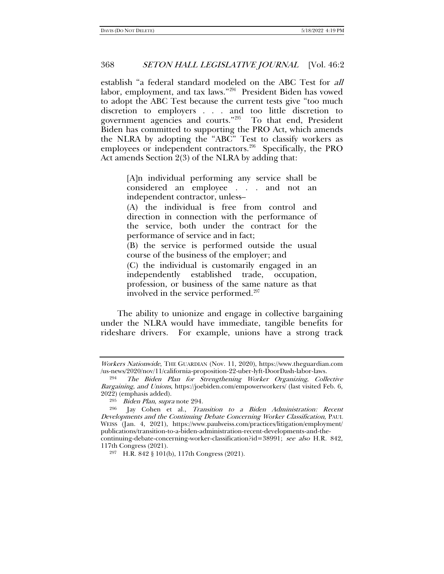<span id="page-41-0"></span>establish "a federal standard modeled on the ABC Test for all labor, employment, and tax laws."[294](#page-41-1) President Biden has vowed to adopt the ABC Test because the current tests give "too much discretion to employers . . . and too little discretion to government agencies and courts."[295](#page-41-2) To that end, President Biden has committed to supporting the PRO Act, which amends the NLRA by adopting the "ABC" Test to classify workers as employees or independent contractors.<sup>296</sup> Specifically, the PRO Act amends Section 2(3) of the NLRA by adding that:

> [A]n individual performing any service shall be considered an employee . . . and not an independent contractor, unless–

> (A) the individual is free from control and direction in connection with the performance of the service, both under the contract for the performance of service and in fact;

> (B) the service is performed outside the usual course of the business of the employer; and

> (C) the individual is customarily engaged in an independently established trade, occupation, profession, or business of the same nature as that involved in the service performed.<sup>[297](#page-41-4)</sup>

The ability to unionize and engage in collective bargaining under the NLRA would have immediate, tangible benefits for rideshare drivers. For example, unions have a strong track

Workers Nationwide, THE GUARDIAN (Nov. 11, 2020), https://www.theguardian.com /us-news/2020/nov/11/california-proposition-22-uber-lyft-DoorDash-labor-laws.

<span id="page-41-1"></span><sup>294</sup> The Biden Plan for Strengthening Worker Organizing, Collective Bargaining, and Unions, https://joebiden.com/empowerworkers/ (last visited Feb. 6, 2022) (emphasis added).

<sup>&</sup>lt;sup>295</sup> Biden Plan, supra note [294.](#page-41-0)<br><sup>296</sup> Iay Cohen et al *Tra* 

<span id="page-41-3"></span><span id="page-41-2"></span>Jay Cohen et al., Transition to a Biden Administration: Recent Developments and the Continuing Debate Concerning Worker Classification, PAUL WEISS (Jan. 4, 2021), https://www.paulweiss.com/practices/litigation/employment/ publications/transition-to-a-biden-administration-recent-developments-and-thecontinuing-debate-concerning-worker-classification?id=38991; see also H.R. 842, 117th Congress (2021).

<span id="page-41-4"></span><sup>297</sup> H.R. 842 § 101(b), 117th Congress (2021).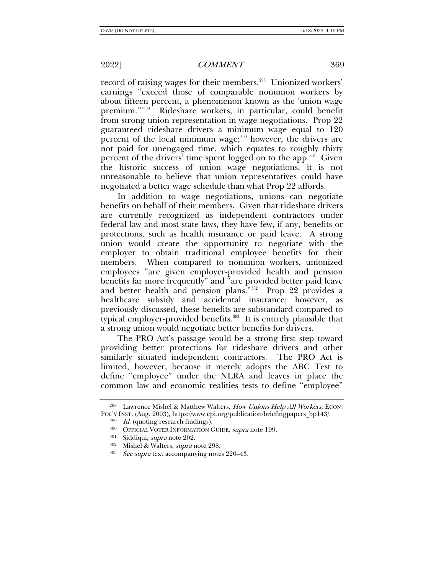record of raising wages for their members.<sup>[298](#page-42-1)</sup> Unionized workers' earnings "exceed those of comparable nonunion workers by about fifteen percent, a phenomenon known as the 'union wage premium."<sup>299</sup> Rideshare workers, in particular, could benefit from strong union representation in wage negotiations. Prop 22 guaranteed rideshare drivers a minimum wage equal to 120 percent of the local minimum wage; $300$  however, the drivers are not paid for unengaged time, which equates to roughly thirty percent of the drivers' time spent logged on to the app.<sup>301</sup> Given the historic success of union wage negotiations, it is not unreasonable to believe that union representatives could have negotiated a better wage schedule than what Prop 22 affords.

In addition to wage negotiations, unions can negotiate benefits on behalf of their members. Given that rideshare drivers are currently recognized as independent contractors under federal law and most state laws, they have few, if any, benefits or protections, such as health insurance or paid leave. A strong union would create the opportunity to negotiate with the employer to obtain traditional employee benefits for their members. When compared to nonunion workers, unionized employees "are given employer-provided health and pension benefits far more frequently" and "are provided better paid leave and better health and pension plans."<sup>302</sup> Prop 22 provides a healthcare subsidy and accidental insurance; however, as previously discussed, these benefits are substandard compared to typical employer-provided benefits. $303$  It is entirely plausible that a strong union would negotiate better benefits for drivers.

The PRO Act's passage would be a strong first step toward providing better protections for rideshare drivers and other similarly situated independent contractors. The PRO Act is limited, however, because it merely adopts the ABC Test to define "employee" under the NLRA and leaves in place the common law and economic realities tests to define "employee"

<span id="page-42-0"></span>

<span id="page-42-5"></span><span id="page-42-4"></span><span id="page-42-3"></span><span id="page-42-2"></span><span id="page-42-1"></span><sup>&</sup>lt;sup>298</sup> Lawrence Mishel & Matthew Walters, How Unions Help All Workers, ECON. POL'Y INST. (Aug. 2003), https://www.epi.org/publication/briefingpapers\_bp143/.

 $299$  *Id.* (quoting research findings).

<sup>&</sup>lt;sup>300</sup> OFFICIAL VOTER INFORMATION GUIDE, *supra* note [199.](#page-28-5)

<sup>301</sup> Siddiqui, supra note [202.](#page-29-0)

<sup>302</sup> Mishel & Walters, supra note [298.](#page-42-0)

<span id="page-42-6"></span><sup>303</sup> See supra text accompanying notes 220–43.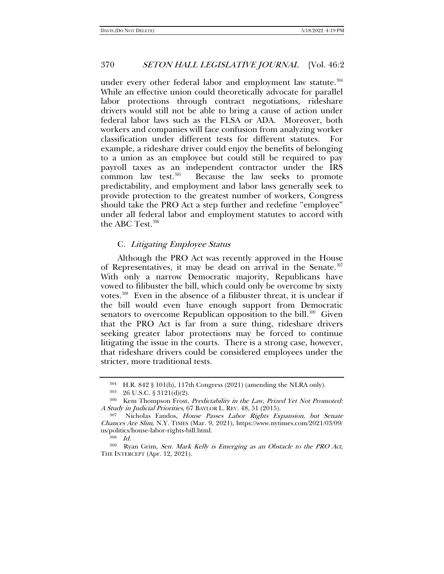under every other federal labor and employment law statute. $304$ While an effective union could theoretically advocate for parallel labor protections through contract negotiations, rideshare drivers would still not be able to bring a cause of action under federal labor laws such as the FLSA or ADA. Moreover, both workers and companies will face confusion from analyzing worker classification under different tests for different statutes. For example, a rideshare driver could enjoy the benefits of belonging to a union as an employee but could still be required to pay payroll taxes as an independent contractor under the IRS common law test. $305$  Because the law seeks to promote predictability, and employment and labor laws generally seek to provide protection to the greatest number of workers, Congress should take the PRO Act a step further and redefine "employee" under all federal labor and employment statutes to accord with the ABC Test.<sup>[306](#page-43-2)</sup>

# C. Litigating Employee Status

Although the PRO Act was recently approved in the House of Representatives, it may be dead on arrival in the Senate. $307$ With only a narrow Democratic majority, Republicans have vowed to filibuster the bill, which could only be overcome by sixty votes.[308](#page-43-4) Even in the absence of a filibuster threat, it is unclear if the bill would even have enough support from Democratic senators to overcome Republican opposition to the bill.<sup>[309](#page-43-5)</sup> Given that the PRO Act is far from a sure thing, rideshare drivers seeking greater labor protections may be forced to continue litigating the issue in the courts. There is a strong case, however, that rideshare drivers could be considered employees under the stricter, more traditional tests.

<sup>304</sup> H.R. 842 § 101(b), 117th Congress (2021) (amending the NLRA only).

<sup>305</sup> 26 U.S.C. § 3121(d)(2).

<span id="page-43-2"></span><span id="page-43-1"></span><span id="page-43-0"></span><sup>306</sup> Kem Thompson Frost, Predictability in the Law, Prized Yet Not Promoted: A Study in Judicial Priorities, 67 BAYLOR L. REV. 48, 51 (2015).

<span id="page-43-3"></span>Nicholas Fandos, House Passes Labor Rights Expansion, but Senate Chances Are Slim, N.Y. TIMES (Mar. 9, 2021), https://www.nytimes.com/2021/03/09/ us/politics/house-labor-rights-bill.html.

 $308$  *Id.* 

<span id="page-43-5"></span><span id="page-43-4"></span><sup>309</sup> Ryan Grim, Sen. Mark Kelly is Emerging as an Obstacle to the PRO Act, THE INTERCEPT (Apr. 12, 2021).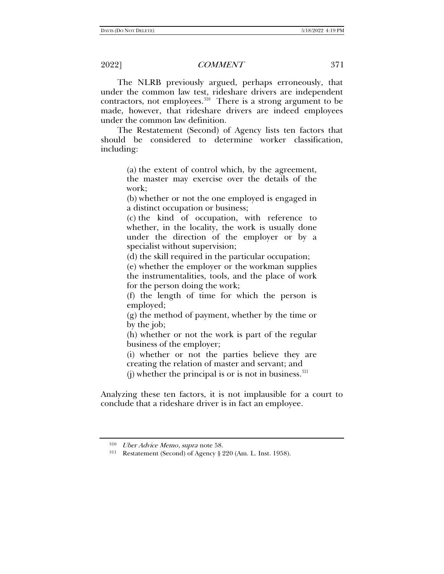The NLRB previously argued, perhaps erroneously, that under the common law test, rideshare drivers are independent contractors, not employees. $310$  There is a strong argument to be made, however, that rideshare drivers are indeed employees under the common law definition.

The Restatement (Second) of Agency lists ten factors that should be considered to determine worker classification, including:

> (a) the extent of control which, by the agreement, the master may exercise over the details of the work;

> (b) whether or not the one employed is engaged in a distinct occupation or business;

> (c) the kind of occupation, with reference to whether, in the locality, the work is usually done under the direction of the employer or by a specialist without supervision;

(d) the skill required in the particular occupation;

(e) whether the employer or the workman supplies the instrumentalities, tools, and the place of work for the person doing the work;

(f) the length of time for which the person is employed;

(g) the method of payment, whether by the time or by the job;

(h) whether or not the work is part of the regular business of the employer;

(i) whether or not the parties believe they are creating the relation of master and servant; and

(j) whether the principal is or is not in business.  $311$ 

Analyzing these ten factors, it is not implausible for a court to conclude that a rideshare driver is in fact an employee.

<span id="page-44-0"></span><sup>310</sup> Uber Advice Memo, supra not[e 58.](#page-9-9)

<span id="page-44-1"></span><sup>311</sup> Restatement (Second) of Agency § 220 (Am. L. Inst. 1958).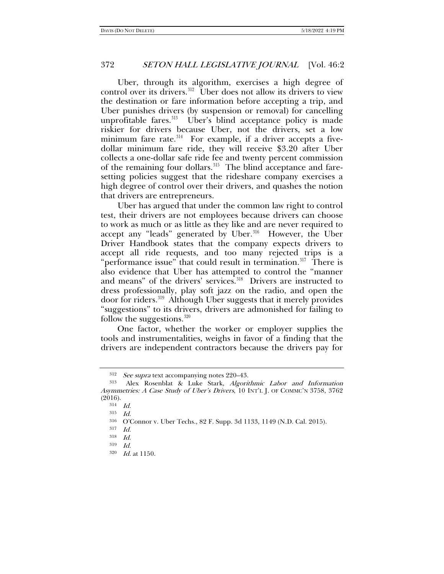Uber, through its algorithm, exercises a high degree of control over its drivers.<sup>312</sup> Uber does not allow its drivers to view the destination or fare information before accepting a trip, and Uber punishes drivers (by suspension or removal) for cancelling unprofitable fares.<sup>[313](#page-45-1)</sup> Uber's blind acceptance policy is made riskier for drivers because Uber, not the drivers, set a low minimum fare rate. $314$  For example, if a driver accepts a fivedollar minimum fare ride, they will receive \$3.20 after Uber collects a one-dollar safe ride fee and twenty percent commission of the remaining four dollars. $315$  The blind acceptance and faresetting policies suggest that the rideshare company exercises a high degree of control over their drivers, and quashes the notion that drivers are entrepreneurs.

Uber has argued that under the common law right to control test, their drivers are not employees because drivers can choose to work as much or as little as they like and are never required to accept any "leads" generated by Uber. $316$  However, the Uber Driver Handbook states that the company expects drivers to accept all ride requests, and too many rejected trips is a "performance issue" that could result in termination.<sup>[317](#page-45-5)</sup> There is also evidence that Uber has attempted to control the "manner and means" of the drivers' services.<sup>[318](#page-45-6)</sup> Drivers are instructed to dress professionally, play soft jazz on the radio, and open the door for riders.[319](#page-45-7) Although Uber suggests that it merely provides "suggestions" to its drivers, drivers are admonished for failing to follow the suggestions. $320$ 

One factor, whether the worker or employer supplies the tools and instrumentalities, weighs in favor of a finding that the drivers are independent contractors because the drivers pay for

<sup>&</sup>lt;sup>312</sup> See supra text accompanying notes 220-43.

<span id="page-45-4"></span><span id="page-45-3"></span><span id="page-45-2"></span><span id="page-45-1"></span><span id="page-45-0"></span><sup>313</sup> Alex Rosenblat & Luke Stark, Algorithmic Labor and Information Asymmetries: A Case Study of Uber's Drivers, 10 INT'L J. OF COMMC'N 3758, 3762 (2016).

<sup>314</sup> Id.

<sup>315</sup> Id.

<sup>316</sup> O'Connor v. Uber Techs., 82 F. Supp. 3d 1133, 1149 (N.D. Cal. 2015).

<span id="page-45-6"></span><span id="page-45-5"></span><sup>317</sup> Id.

<sup>318</sup> Id.

<span id="page-45-7"></span><sup>319</sup> Id.

<span id="page-45-8"></span><sup>320</sup> Id. at 1150.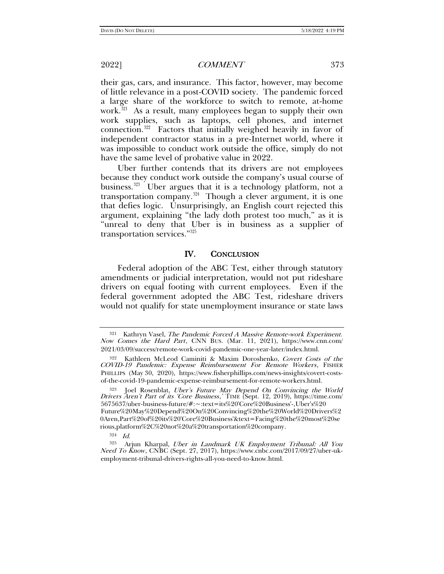their gas, cars, and insurance. This factor, however, may become of little relevance in a post-COVID society. The pandemic forced a large share of the workforce to switch to remote, at-home work.<sup>[321](#page-46-0)</sup> As a result, many employees began to supply their own work supplies, such as laptops, cell phones, and internet connection.[322](#page-46-1) Factors that initially weighed heavily in favor of independent contractor status in a pre-Internet world, where it was impossible to conduct work outside the office, simply do not have the same level of probative value in 2022.

Uber further contends that its drivers are not employees because they conduct work outside the company's usual course of business. $323$  Uber argues that it is a technology platform, not a transportation company.<sup>[324](#page-46-3)</sup> Though a clever argument, it is one that defies logic. Unsurprisingly, an English court rejected this argument, explaining "the lady doth protest too much," as it is "unreal to deny that Uber is in business as a supplier of transportation services."[325](#page-46-4)

### IV. CONCLUSION

Federal adoption of the ABC Test, either through statutory amendments or judicial interpretation, would not put rideshare drivers on equal footing with current employees. Even if the federal government adopted the ABC Test, rideshare drivers would not qualify for state unemployment insurance or state laws

<span id="page-46-0"></span><sup>321</sup> Kathryn Vasel, The Pandemic Forced A Massive Remote-work Experiment. Now Comes the Hard Part, CNN BUS. (Mar. 11, 2021), https://www.cnn.com/ 2021/03/09/success/remote-work-covid-pandemic-one-year-later/index.html.

<span id="page-46-1"></span><sup>322</sup> Kathleen McLeod Caminiti & Maxim Doroshenko, Covert Costs of the COVID-19 Pandemic: Expense Reimbursement For Remote Workers, FISHER PHILLIPS (May 30, 2020), https://www.fisherphillips.com/news-insights/covert-costsof-the-covid-19-pandemic-expense-reimbursement-for-remote-workers.html.

<span id="page-46-2"></span><sup>&</sup>lt;sup>323</sup> Joel Rosenblat, *Uber's Future May Depend On Convincing the World Drivers Aren't Part of its 'Core Business*,' TIME (Sept. 12, 2019), https://time.com/ 5675637/uber-business-future/#:~:text=its%20'Core%20Business'-,Uber's%20 Future%20May%20Depend%20On%20Convincing%20the%20World%20Drivers%2 0Aren,Part%20of%20its%20'Core%20Business'&text=Facing%20the%20most%20se rious,platform%2C%20not%20a%20transportation%20company.

 $324$  *Id.* 

<span id="page-46-4"></span><span id="page-46-3"></span><sup>325</sup> Arjun Kharpal, Uber in Landmark UK Employment Tribunal: All You Need To Know, CNBC (Sept. 27, 2017), https://www.cnbc.com/2017/09/27/uber-ukemployment-tribunal-drivers-rights-all-you-need-to-know.html.